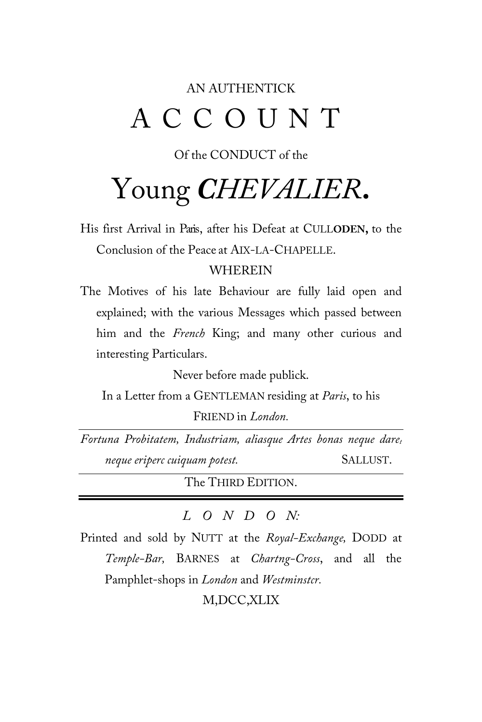### AN AUTHENTICK ACCOUNT

#### Of the CONDUCT of the

# Young *CHEVALIER***.**

His first Arrival in Paris, after his Defeat at CULL**ODEN,** to the Conclusion of the Peace at AIX-LA-CHAPELLE.

#### WHEREIN

The Motives of his late Behaviour are fully laid open and explained; with the various Messages which passed between him and the *French* King; and many other curious and interesting Particulars.

Never before made publick.

In a Letter from a GENTLEMAN residing at *Paris*, to his

FRIEND in *London.*

*Fortuna Probitatem, Industriam, aliasque Artes bonas neque daret neque eriperc cuiquam potest.* SALLUST.

The THIRD EDITION.

#### *LONDO N:*

Printed and sold by NUTT at the *Royal-Exchange,* DODD at *Temple-Bar,* BARNES at *Chartng-Cross*, and all the Pamphlet-shops in *London* and *Westminstcr.*

M,DCC,XLIX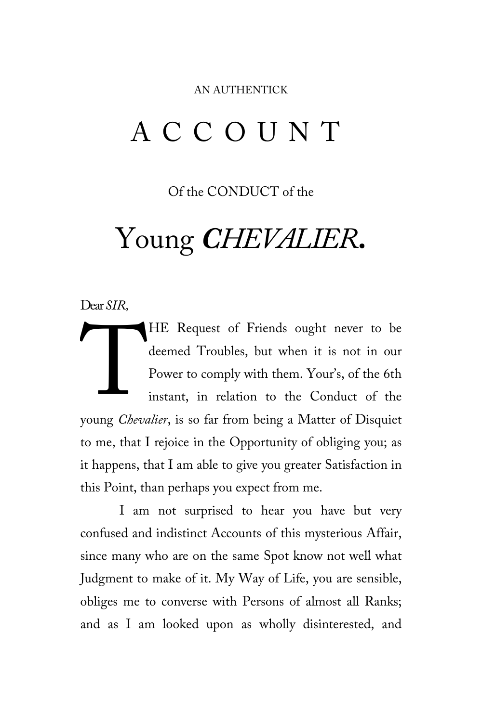#### AN AUTHENTICK

## ACCOUNT

Of the CONDUCT of the

# Young *CHEVALIER***.**

Dear *SIR,*

HE Request of Friends ought never to be deemed Troubles, but when it is not in our Power to comply with them. Your's, of the 6th instant, in relation to the Conduct of the deemed Troubles, but when it is not in our<br>
Power to comply with them. Your's, of the 6th<br>
instant, in relation to the Conduct of the<br>
young *Chevalier*, is so far from being a Matter of Disquiet to me, that I rejoice in the Opportunity of obliging you; as it happens, that I am able to give you greater Satisfaction in this Point, than perhaps you expect from me.

I am not surprised to hear you have but very confused and indistinct Accounts of this mysterious Affair, since many who are on the same Spot know not well what Judgment to make of it. My Way of Life, you are sensible, obliges me to converse with Persons of almost all Ranks; and as I am looked upon as wholly disinterested, and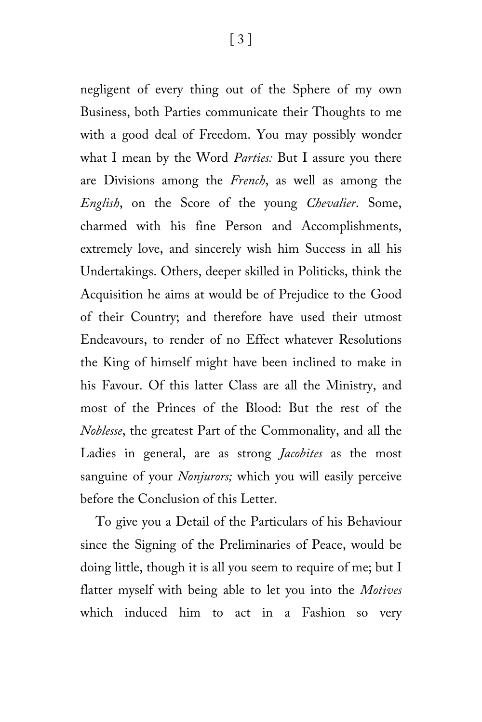negligent of every thing out of the Sphere of my own Business, both Parties communicate their Thoughts to me with a good deal of Freedom. You may possibly wonder what I mean by the Word *Parties:* But I assure you there are Divisions among the *French*, as well as among the *English*, on the Score of the young *Chevalier*. Some, charmed with his fine Person and Accomplishments, extremely love, and sincerely wish him Success in all his Undertakings. Others, deeper skilled in Politicks, think the Acquisition he aims at would be of Prejudice to the Good of their Country; and therefore have used their utmost Endeavours, to render of no Effect whatever Resolutions the King of himself might have been inclined to make in his Favour. Of this latter Class are all the Ministry, and most of the Princes of the Blood: But the rest of the *Noblesse*, the greatest Part of the Commonality, and all the Ladies in general, are as strong *Jacobites* as the most sanguine of your *Nonjurors;* which you will easily perceive before the Conclusion of this Letter.

To give you a Detail of the Particulars of his Behaviour since the Signing of the Preliminaries of Peace, would be doing little, though it is all you seem to require of me; but I flatter myself with being able to let you into the *Motives* which induced him to act in a Fashion so very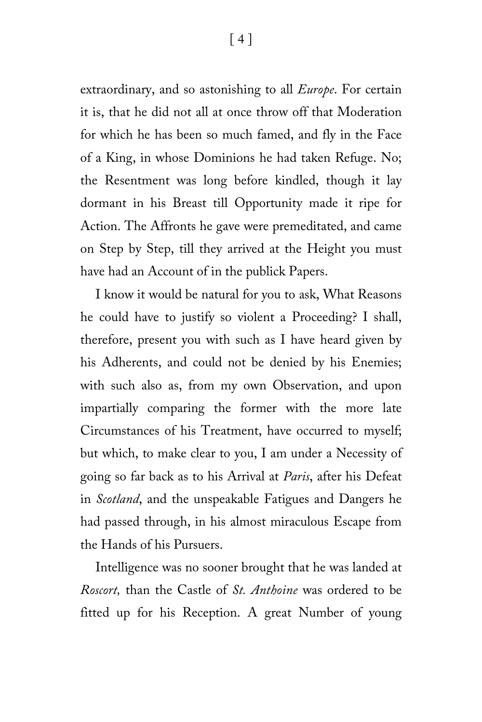extraordinary, and so astonishing to all *Europe*. For certain it is, that he did not all at once throw off that Moderation for which he has been so much famed, and fly in the Face of a King, in whose Dominions he had taken Refuge. No; the Resentment was long before kindled, though it lay dormant in his Breast till Opportunity made it ripe for Action. The Affronts he gave were premeditated, and came on Step by Step, till they arrived at the Height you must have had an Account of in the publick Papers.

I know it would be natural for you to ask, What Reasons he could have to justify so violent a Proceeding? I shall, therefore, present you with such as I have heard given by his Adherents, and could not be denied by his Enemies; with such also as, from my own Observation, and upon impartially comparing the former with the more late Circumstances of his Treatment, have occurred to myself; but which, to make clear to you, I am under a Necessity of going so far back as to his Arrival at *Paris*, after his Defeat in *Scotland*, and the unspeakable Fatigues and Dangers he had passed through, in his almost miraculous Escape from the Hands of his Pursuers.

Intelligence was no sooner brought that he was landed at *Roscort,* than the Castle of *St. Anthoine* was ordered to be fitted up for his Reception. A great Number of young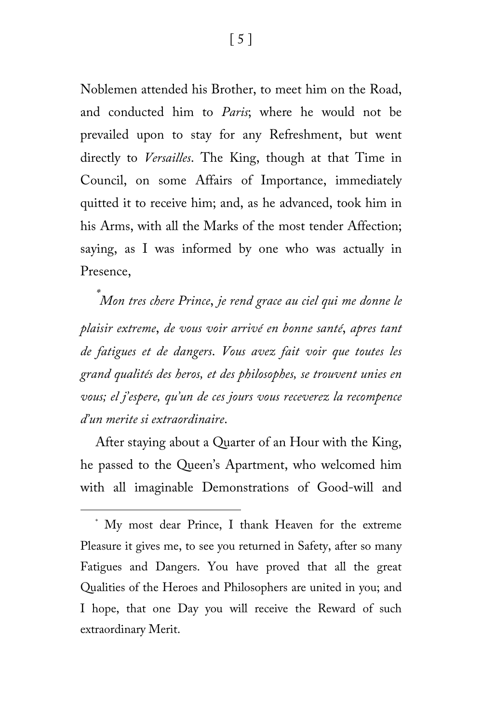Noblemen attended his Brother, to meet him on the Road, and conducted him to *Paris*; where he would not be prevailed upon to stay for any Refreshment, but went directly to *Versailles*. The King, though at that Time in Council, on some Affairs of Importance, immediately quitted it to receive him; and, as he advanced, took him in his Arms, with all the Marks of the most tender Affection; saying, as I was informed by one who was actually in Presence,

*[\\*](#page-4-0) Mon tres chere Prince*, *je rend grace au ciel qui me donne le plaisir extreme*, *de vous voir arrivé en bonne santé*, *apres tant de fatigues et de dangers*. *Vous avez fait voir que toutes les grand qualités des heros, et des philosophes, se trouvent unies en vous; el j'espere, qu'un de ces jours vous receverez la recompence d'un merite si extraordinaire*.

After staying about a Quarter of an Hour with the King, he passed to the Queen's Apartment, who welcomed him with all imaginable Demonstrations of Good-will and

ī

<span id="page-4-0"></span><sup>\*</sup> My most dear Prince, I thank Heaven for the extreme Pleasure it gives me, to see you returned in Safety, after so many Fatigues and Dangers. You have proved that all the great Qualities of the Heroes and Philosophers are united in you; and I hope, that one Day you will receive the Reward of such extraordinary Merit.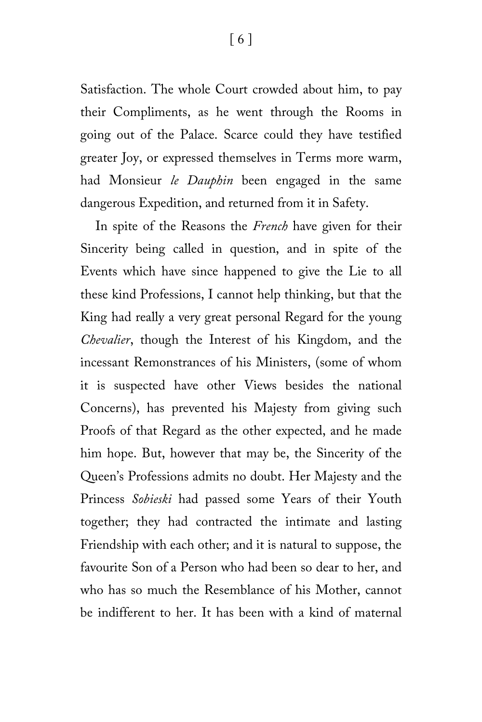Satisfaction. The whole Court crowded about him, to pay their Compliments, as he went through the Rooms in going out of the Palace. Scarce could they have testified greater Joy, or expressed themselves in Terms more warm, had Monsieur *le Dauphin* been engaged in the same dangerous Expedition, and returned from it in Safety.

In spite of the Reasons the *French* have given for their Sincerity being called in question, and in spite of the Events which have since happened to give the Lie to all these kind Professions, I cannot help thinking, but that the King had really a very great personal Regard for the young *Chevalier*, though the Interest of his Kingdom, and the incessant Remonstrances of his Ministers, (some of whom it is suspected have other Views besides the national Concerns), has prevented his Majesty from giving such Proofs of that Regard as the other expected, and he made him hope. But, however that may be, the Sincerity of the Queen's Professions admits no doubt. Her Majesty and the Princess *Sobieski* had passed some Years of their Youth together; they had contracted the intimate and lasting Friendship with each other; and it is natural to suppose, the favourite Son of a Person who had been so dear to her, and who has so much the Resemblance of his Mother, cannot be indifferent to her. It has been with a kind of maternal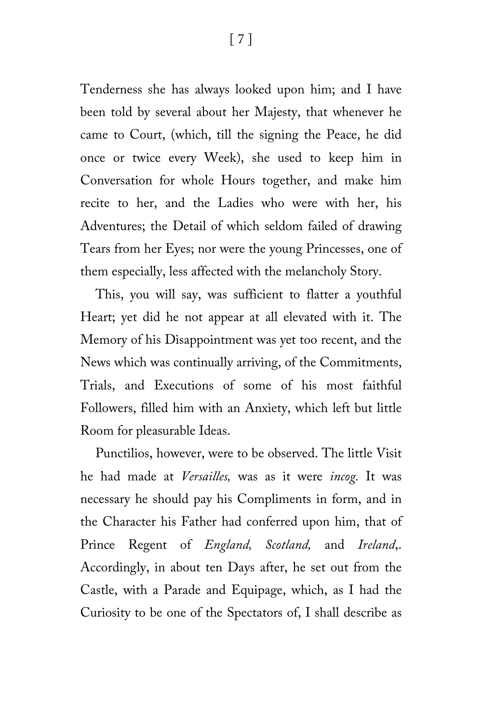Tenderness she has always looked upon him; and I have been told by several about her Majesty, that whenever he came to Court, (which, till the signing the Peace, he did once or twice every Week), she used to keep him in Conversation for whole Hours together, and make him recite to her, and the Ladies who were with her, his Adventures; the Detail of which seldom failed of drawing Tears from her Eyes; nor were the young Princesses, one of them especially, less affected with the melancholy Story.

This, you will say, was sufficient to flatter a youthful Heart; yet did he not appear at all elevated with it. The Memory of his Disappointment was yet too recent, and the News which was continually arriving, of the Commitments, Trials, and Executions of some of his most faithful Followers, filled him with an Anxiety, which left but little Room for pleasurable Ideas.

Punctilios, however, were to be observed. The little Visit he had made at *Versailles,* was as it were *incog.* It was necessary he should pay his Compliments in form, and in the Character his Father had conferred upon him, that of Prince Regent of *England, Scotland,* and *Ireland*,. Accordingly, in about ten Days after, he set out from the Castle, with a Parade and Equipage, which, as I had the Curiosity to be one of the Spectators of, I shall describe as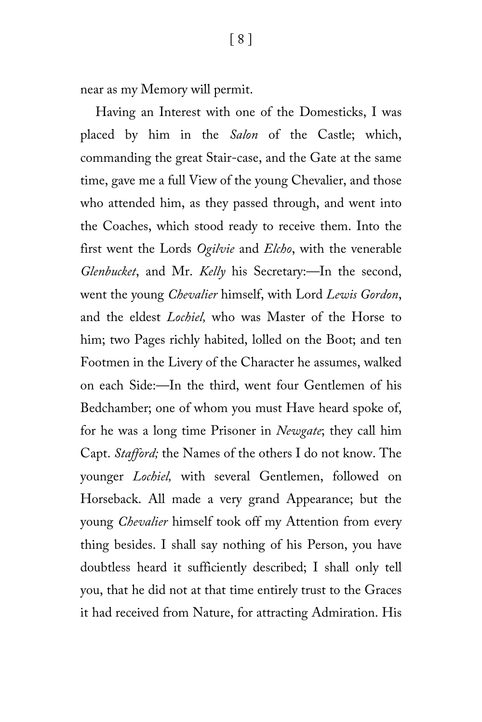near as my Memory will permit.

Having an Interest with one of the Domesticks, I was placed by him in the *Salon* of the Castle; which, commanding the great Stair-case, and the Gate at the same time, gave me a full View of the young Chevalier, and those who attended him, as they passed through, and went into the Coaches, which stood ready to receive them. Into the first went the Lords *Ogilvie* and *Elcho*, with the venerable *Glenbucket*, and Mr. *Kelly* his Secretary:—In the second, went the young *Chevalier* himself, with Lord *Lewis Gordon*, and the eldest *Lochiel,* who was Master of the Horse to him; two Pages richly habited, lolled on the Boot; and ten Footmen in the Livery of the Character he assumes, walked on each Side:—In the third, went four Gentlemen of his Bedchamber; one of whom you must Have heard spoke of, for he was a long time Prisoner in *Newgate*; they call him Capt. *Stafford;* the Names of the others I do not know. The younger *Lochiel,* with several Gentlemen, followed on Horseback. All made a very grand Appearance; but the young *Chevalier* himself took off my Attention from every thing besides. I shall say nothing of his Person, you have doubtless heard it sufficiently described; I shall only tell you, that he did not at that time entirely trust to the Graces it had received from Nature, for attracting Admiration. His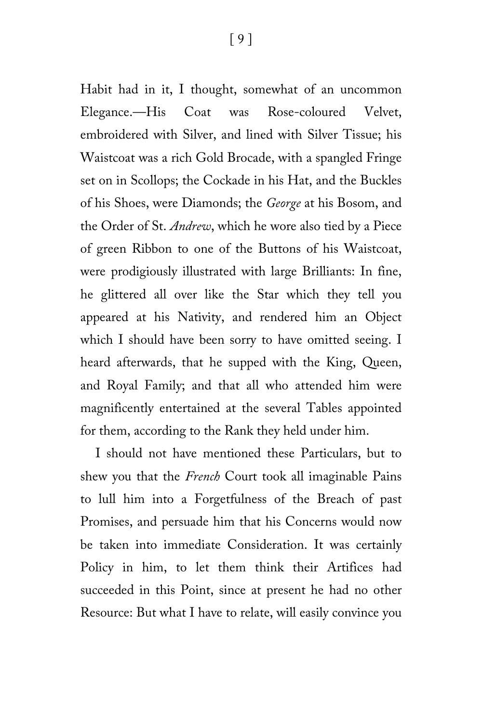Habit had in it, I thought, somewhat of an uncommon Elegance.—His Coat was Rose-coloured Velvet, embroidered with Silver, and lined with Silver Tissue; his Waistcoat was a rich Gold Brocade, with a spangled Fringe set on in Scollops; the Cockade in his Hat, and the Buckles of his Shoes, were Diamonds; the *George* at his Bosom, and the Order of St. *Andrew*, which he wore also tied by a Piece of green Ribbon to one of the Buttons of his Waistcoat, were prodigiously illustrated with large Brilliants: In fine, he glittered all over like the Star which they tell you appeared at his Nativity, and rendered him an Object which I should have been sorry to have omitted seeing. I heard afterwards, that he supped with the King, Queen, and Royal Family; and that all who attended him were magnificently entertained at the several Tables appointed for them, according to the Rank they held under him.

I should not have mentioned these Particulars, but to shew you that the *French* Court took all imaginable Pains to lull him into a Forgetfulness of the Breach of past Promises, and persuade him that his Concerns would now be taken into immediate Consideration. It was certainly Policy in him, to let them think their Artifices had succeeded in this Point, since at present he had no other Resource: But what I have to relate, will easily convince you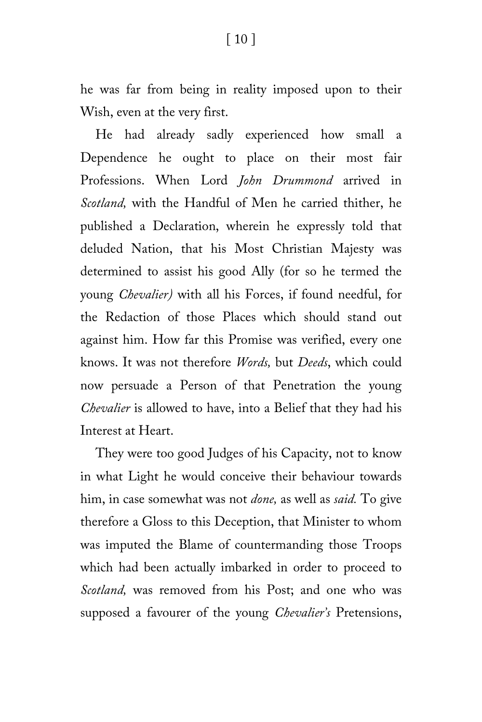he was far from being in reality imposed upon to their Wish, even at the very first.

He had already sadly experienced how small a Dependence he ought to place on their most fair Professions. When Lord *John Drummond* arrived in *Scotland,* with the Handful of Men he carried thither, he published a Declaration, wherein he expressly told that deluded Nation, that his Most Christian Majesty was determined to assist his good Ally (for so he termed the young *Chevalier)* with all his Forces, if found needful, for the Redaction of those Places which should stand out against him. How far this Promise was verified, every one knows. It was not therefore *Words,* but *Deeds*, which could now persuade a Person of that Penetration the young *Chevalier* is allowed to have, into a Belief that they had his Interest at Heart.

They were too good Judges of his Capacity, not to know in what Light he would conceive their behaviour towards him, in case somewhat was not *done,* as well as *said.* To give therefore a Gloss to this Deception, that Minister to whom was imputed the Blame of countermanding those Troops which had been actually imbarked in order to proceed to *Scotland,* was removed from his Post; and one who was supposed a favourer of the young *Chevalier's* Pretensions,

#### [ 10 ]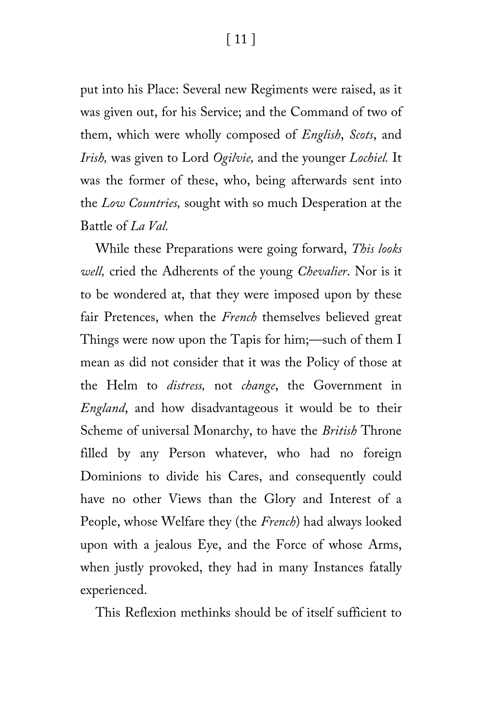[ 11 ]

put into his Place: Several new Regiments were raised, as it was given out, for his Service; and the Command of two of them, which were wholly composed of *English*, *Scots*, and *Irish,* was given to Lord *Ogilvie,* and the younger *Lochiel.* It was the former of these, who, being afterwards sent into the *Low Countries,* sought with so much Desperation at the Battle of *La Val.*

While these Preparations were going forward, *This looks well,* cried the Adherents of the young *Chevalier*. Nor is it to be wondered at, that they were imposed upon by these fair Pretences, when the *French* themselves believed great Things were now upon the Tapis for him;—such of them I mean as did not consider that it was the Policy of those at the Helm to *distress,* not *change*, the Government in *England*, and how disadvantageous it would be to their Scheme of universal Monarchy, to have the *British* Throne filled by any Person whatever, who had no foreign Dominions to divide his Cares, and consequently could have no other Views than the Glory and Interest of a People, whose Welfare they (the *French*) had always looked upon with a jealous Eye, and the Force of whose Arms, when justly provoked, they had in many Instances fatally experienced.

This Reflexion methinks should be of itself sufficient to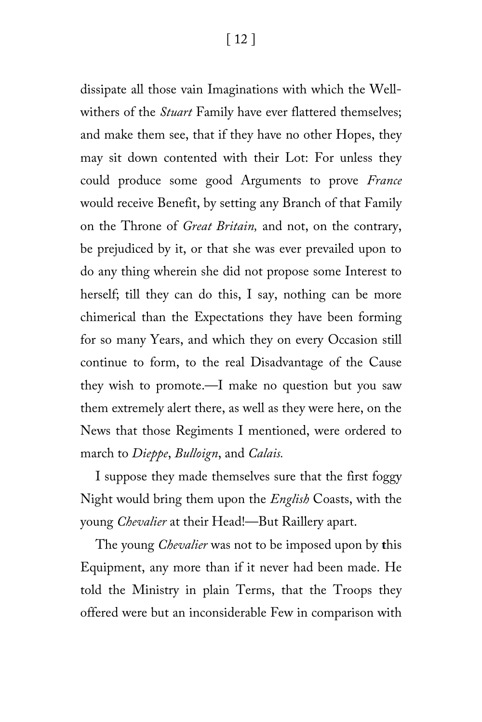dissipate all those vain Imaginations with which the Wellwithers of the *Stuart* Family have ever flattered themselves; and make them see, that if they have no other Hopes, they may sit down contented with their Lot: For unless they could produce some good Arguments to prove *France* would receive Benefit, by setting any Branch of that Family on the Throne of *Great Britain,* and not, on the contrary, be prejudiced by it, or that she was ever prevailed upon to do any thing wherein she did not propose some Interest to herself; till they can do this, I say, nothing can be more chimerical than the Expectations they have been forming for so many Years, and which they on every Occasion still continue to form, to the real Disadvantage of the Cause they wish to promote.—I make no question but you saw them extremely alert there, as well as they were here, on the News that those Regiments I mentioned, were ordered to march to *Dieppe*, *Bulloign*, and *Calais.*

I suppose they made themselves sure that the first foggy Night would bring them upon the *English* Coasts, with the young *Chevalier* at their Head!—But Raillery apart.

The young *Chevalier* was not to be imposed upon by **t**his Equipment, any more than if it never had been made. He told the Ministry in plain Terms, that the Troops they offered were but an inconsiderable Few in comparison with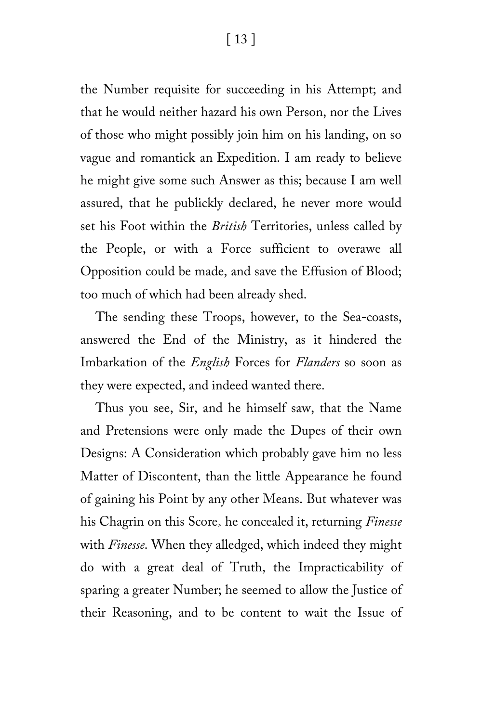[ 13 ]

the Number requisite for succeeding in his Attempt; and that he would neither hazard his own Person, nor the Lives of those who might possibly join him on his landing, on so vague and romantick an Expedition. I am ready to believe he might give some such Answer as this; because I am well assured, that he publickly declared, he never more would set his Foot within the *British* Territories, unless called by the People, or with a Force sufficient to overawe all Opposition could be made, and save the Effusion of Blood; too much of which had been already shed.

The sending these Troops, however, to the Sea-coasts, answered the End of the Ministry, as it hindered the Imbarkation of the *English* Forces for *Flanders* so soon as they were expected, and indeed wanted there.

Thus you see, Sir, and he himself saw, that the Name and Pretensions were only made the Dupes of their own Designs: A Consideration which probably gave him no less Matter of Discontent, than the little Appearance he found of gaining his Point by any other Means. But whatever was his Chagrin on this Score> he concealed it, returning *Finesse* with *Finesse*. When they alledged, which indeed they might do with a great deal of Truth, the Impracticability of sparing a greater Number; he seemed to allow the Justice of their Reasoning, and to be content to wait the Issue of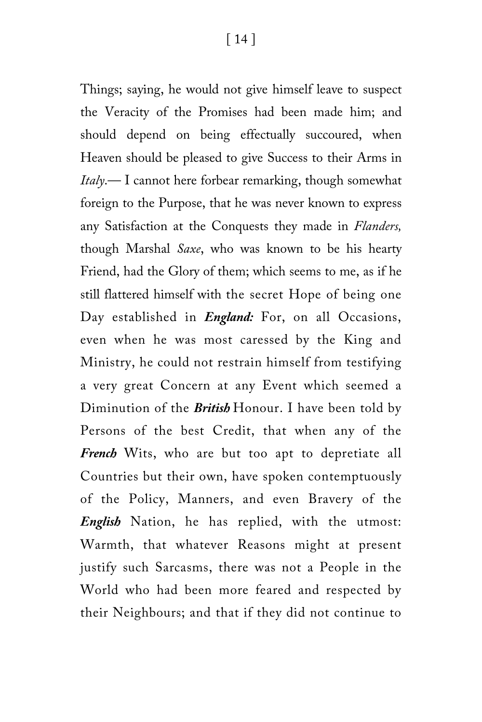Things; saying, he would not give himself leave to suspect the Veracity of the Promises had been made him; and should depend on being effectually succoured, when Heaven should be pleased to give Success to their Arms in *Italy*.— I cannot here forbear remarking, though somewhat foreign to the Purpose, that he was never known to express any Satisfaction at the Conquests they made in *Flanders,* though Marshal *Saxe*, who was known to be his hearty Friend, had the Glory of them; which seems to me, as if he still flattered himself with the secret Hope of being one Day established in *England:* For, on all Occasions, even when he was most caressed by the King and Ministry, he could not restrain himself from testifying a very great Concern at any Event which seemed a Diminution of the *British* Honour. I have been told by Persons of the best Credit, that when any of the *French* Wits, who are but too apt to depretiate all Countries but their own, have spoken contemptuously of the Policy, Manners, and even Bravery of the *English* Nation, he has replied, with the utmost: Warmth, that whatever Reasons might at present justify such Sarcasms, there was not a People in the World who had been more feared and respected by their Neighbours; and that if they did not continue to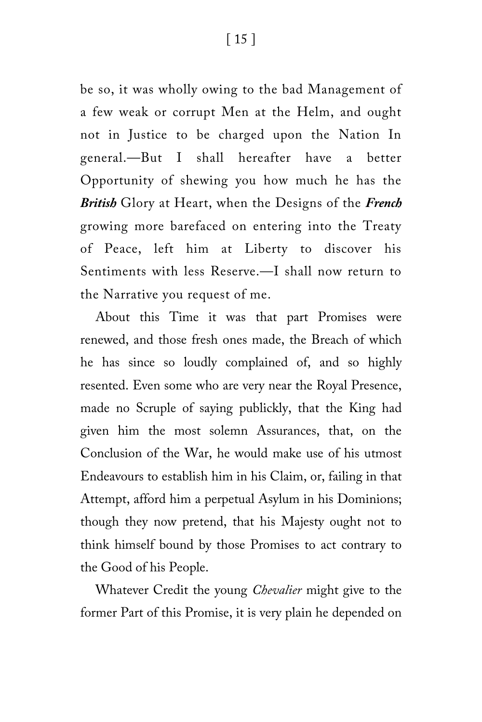be so, it was wholly owing to the bad Management of a few weak or corrupt Men at the Helm, and ought not in Justice to be charged upon the Nation In general.—But I shall hereafter have a better Opportunity of shewing you how much he has the *British* Glory at Heart, when the Designs of the *French* growing more barefaced on entering into the Treaty of Peace, left him at Liberty to discover his Sentiments with less Reserve.—I shall now return to the Narrative you request of me.

About this Time it was that part Promises were renewed, and those fresh ones made, the Breach of which he has since so loudly complained of, and so highly resented. Even some who are very near the Royal Presence, made no Scruple of saying publickly, that the King had given him the most solemn Assurances, that, on the Conclusion of the War, he would make use of his utmost Endeavours to establish him in his Claim, or, failing in that Attempt, afford him a perpetual Asylum in his Dominions; though they now pretend, that his Majesty ought not to think himself bound by those Promises to act contrary to the Good of his People.

Whatever Credit the young *Chevalier* might give to the former Part of this Promise, it is very plain he depended on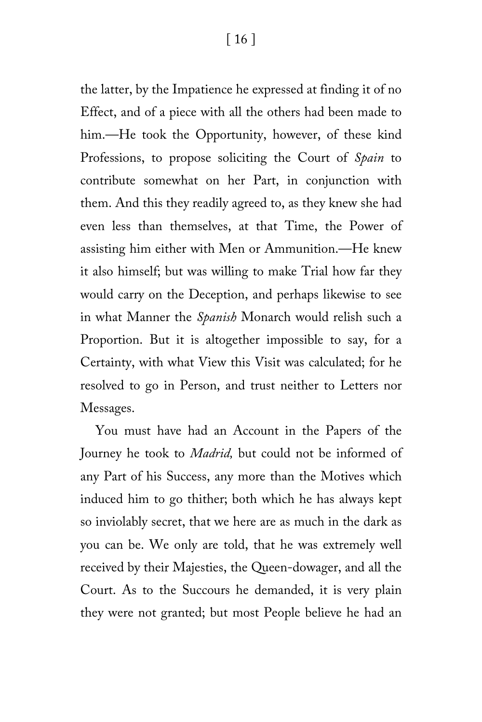the latter, by the Impatience he expressed at finding it of no Effect, and of a piece with all the others had been made to him.—He took the Opportunity, however, of these kind Professions, to propose soliciting the Court of *Spain* to contribute somewhat on her Part, in conjunction with them. And this they readily agreed to, as they knew she had even less than themselves, at that Time, the Power of assisting him either with Men or Ammunition.—He knew it also himself; but was willing to make Trial how far they would carry on the Deception, and perhaps likewise to see in what Manner the *Spanish* Monarch would relish such a Proportion. But it is altogether impossible to say, for a Certainty, with what View this Visit was calculated; for he resolved to go in Person, and trust neither to Letters nor Messages.

You must have had an Account in the Papers of the Journey he took to *Madrid,* but could not be informed of any Part of his Success, any more than the Motives which induced him to go thither; both which he has always kept so inviolably secret, that we here are as much in the dark as you can be. We only are told, that he was extremely well received by their Majesties, the Queen-dowager, and all the Court. As to the Succours he demanded, it is very plain they were not granted; but most People believe he had an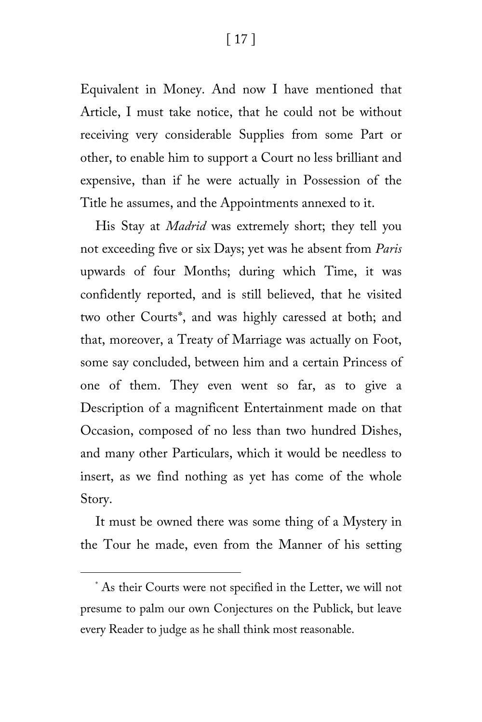[ 17 ]

Equivalent in Money. And now I have mentioned that Article, I must take notice, that he could not be without receiving very considerable Supplies from some Part or other, to enable him to support a Court no less brilliant and expensive, than if he were actually in Possession of the Title he assumes, and the Appointments annexed to it.

His Stay at *Madrid* was extremely short; they tell you not exceeding five or six Days; yet was he absent from *Paris* upwards of four Months; during which Time, it was confidently reported, and is still believed, that he visited two other Courts[\\*,](#page-16-0) and was highly caressed at both; and that, moreover, a Treaty of Marriage was actually on Foot, some say concluded, between him and a certain Princess of one of them. They even went so far, as to give a Description of a magnificent Entertainment made on that Occasion, composed of no less than two hundred Dishes, and many other Particulars, which it would be needless to insert, as we find nothing as yet has come of the whole Story.

It must be owned there was some thing of a Mystery in the Tour he made, even from the Manner of his setting

ī

<span id="page-16-0"></span><sup>\*</sup> As their Courts were not specified in the Letter, we will not presume to palm our own Conjectures on the Publick, but leave every Reader to judge as he shall think most reasonable.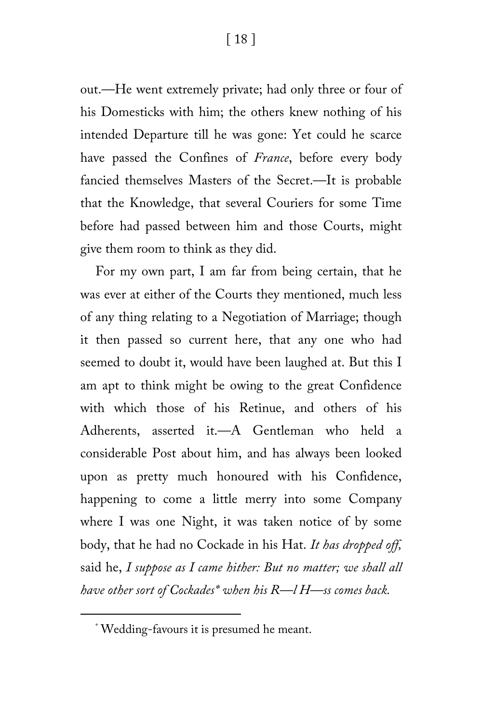[ 18 ]

out.—He went extremely private; had only three or four of his Domesticks with him; the others knew nothing of his intended Departure till he was gone: Yet could he scarce have passed the Confines of *France*, before every body fancied themselves Masters of the Secret.—It is probable that the Knowledge, that several Couriers for some Time before had passed between him and those Courts, might give them room to think as they did.

For my own part, I am far from being certain, that he was ever at either of the Courts they mentioned, much less of any thing relating to a Negotiation of Marriage; though it then passed so current here, that any one who had seemed to doubt it, would have been laughed at. But this I am apt to think might be owing to the great Confidence with which those of his Retinue, and others of his Adherents, asserted it.—A Gentleman who held a considerable Post about him, and has always been looked upon as pretty much honoured with his Confidence, happening to come a little merry into some Company where I was one Night, it was taken notice of by some body, that he had no Cockade in his Hat. *It has dropped off,* said he, *I suppose as I came hither: But no matter; we shall all have other sort of Cockades[\\*](#page-17-0) when his R—l H—ss comes back.*

<span id="page-17-0"></span>ī

<sup>\*</sup> Wedding-favours it is presumed he meant.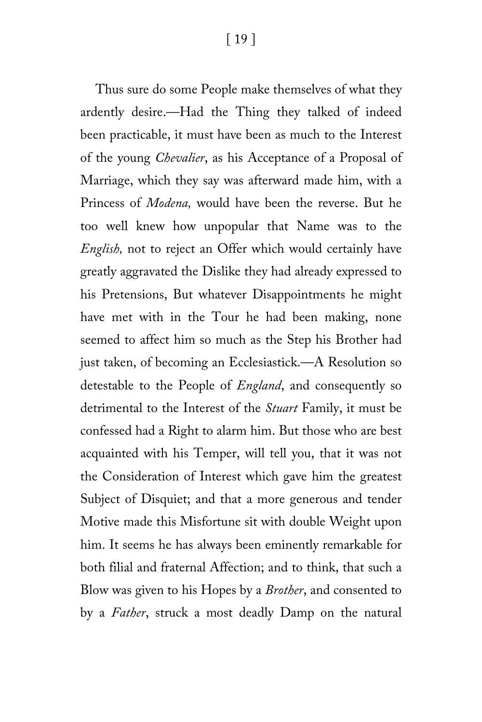[ 19 ]

Thus sure do some People make themselves of what they ardently desire.—Had the Thing they talked of indeed been practicable, it must have been as much to the Interest of the young *Chevalier*, as his Acceptance of a Proposal of Marriage, which they say was afterward made him, with a Princess of *Modena,* would have been the reverse. But he too well knew how unpopular that Name was to the *English,* not to reject an Offer which would certainly have greatly aggravated the Dislike they had already expressed to his Pretensions, But whatever Disappointments he might have met with in the Tour he had been making, none seemed to affect him so much as the Step his Brother had just taken, of becoming an Ecclesiastick.—A Resolution so detestable to the People of *England*, and consequently so detrimental to the Interest of the *Stuart* Family, it must be confessed had a Right to alarm him. But those who are best acquainted with his Temper, will tell you, that it was not the Consideration of Interest which gave him the greatest Subject of Disquiet; and that a more generous and tender Motive made this Misfortune sit with double Weight upon him. It seems he has always been eminently remarkable for both filial and fraternal Affection; and to think, that such a Blow was given to his Hopes by a *Brother*, and consented to by a *Father*, struck a most deadly Damp on the natural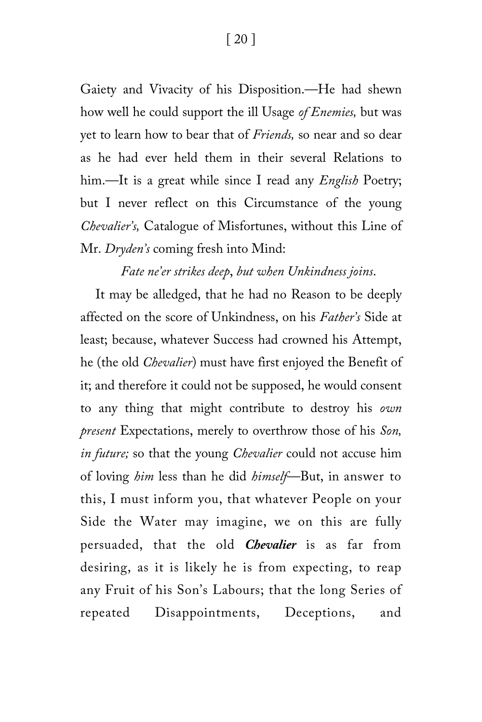Gaiety and Vivacity of his Disposition.—He had shewn how well he could support the ill Usage *of Enemies,* but was yet to learn how to bear that of *Friends,* so near and so dear as he had ever held them in their several Relations to him.—It is a great while since I read any *English* Poetry; but I never reflect on this Circumstance of the young *Chevalier's,* Catalogue of Misfortunes, without this Line of Mr. *Dryden's* coming fresh into Mind:

#### *Fate ne'er strikes deep*, *but when Unkindness joins*.

It may be alledged, that he had no Reason to be deeply affected on the score of Unkindness, on his *Father's* Side at least; because, whatever Success had crowned his Attempt, he (the old *Chevalier*) must have first enjoyed the Benefit of it; and therefore it could not be supposed, he would consent to any thing that might contribute to destroy his *own present* Expectations, merely to overthrow those of his *Son, in future;* so that the young *Chevalier* could not accuse him of loving *him* less than he did *himself*—But, in answer to this, I must inform you, that whatever People on your Side the Water may imagine, we on this are fully persuaded, that the old *Chevalier* is as far from desiring, as it is likely he is from expecting, to reap any Fruit of his Son's Labours; that the long Series of repeated Disappointments, Deceptions, and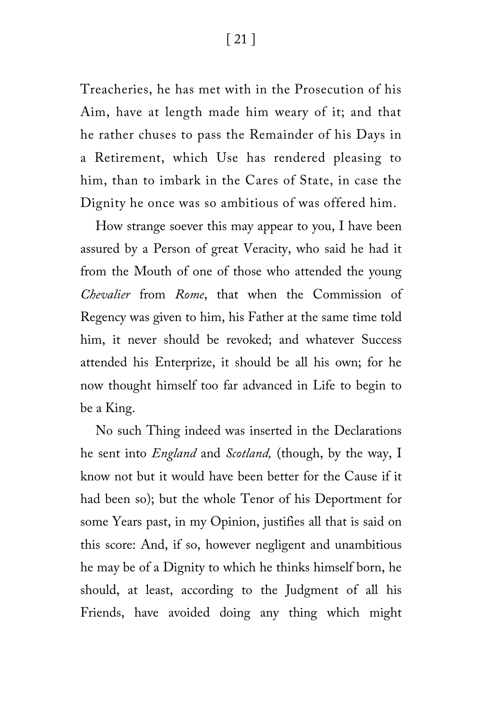Treacheries, he has met with in the Prosecution of his Aim, have at length made him weary of it; and that he rather chuses to pass the Remainder of his Days in a Retirement, which Use has rendered pleasing to him, than to imbark in the Cares of State, in case the Dignity he once was so ambitious of was offered him.

How strange soever this may appear to you, I have been assured by a Person of great Veracity, who said he had it from the Mouth of one of those who attended the young *Chevalier* from *Rome*, that when the Commission of Regency was given to him, his Father at the same time told him, it never should be revoked; and whatever Success attended his Enterprize, it should be all his own; for he now thought himself too far advanced in Life to begin to be a King.

No such Thing indeed was inserted in the Declarations he sent into *England* and *Scotland,* (though, by the way, I know not but it would have been better for the Cause if it had been so); but the whole Tenor of his Deportment for some Years past, in my Opinion, justifies all that is said on this score: And, if so, however negligent and unambitious he may be of a Dignity to which he thinks himself born, he should, at least, according to the Judgment of all his Friends, have avoided doing any thing which might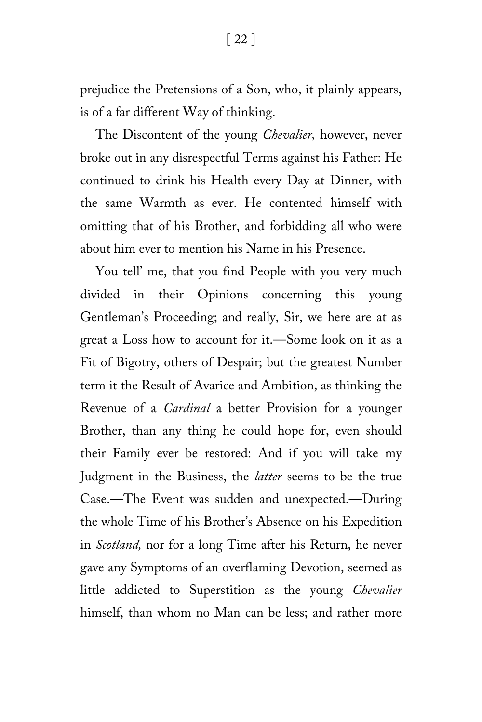prejudice the Pretensions of a Son, who, it plainly appears, is of a far different Way of thinking.

The Discontent of the young *Chevalier,* however, never broke out in any disrespectful Terms against his Father: He continued to drink his Health every Day at Dinner, with the same Warmth as ever. He contented himself with omitting that of his Brother, and forbidding all who were about him ever to mention his Name in his Presence.

You tell' me, that you find People with you very much divided in their Opinions concerning this young Gentleman's Proceeding; and really, Sir, we here are at as great a Loss how to account for it.—Some look on it as a Fit of Bigotry, others of Despair; but the greatest Number term it the Result of Avarice and Ambition, as thinking the Revenue of a *Cardinal* a better Provision for a younger Brother, than any thing he could hope for, even should their Family ever be restored: And if you will take my Judgment in the Business, the *latter* seems to be the true Case.—The Event was sudden and unexpected.—During the whole Time of his Brother's Absence on his Expedition in *Scotland,* nor for a long Time after his Return, he never gave any Symptoms of an overflaming Devotion, seemed as little addicted to Superstition as the young *Chevalier* himself, than whom no Man can be less; and rather more

[ 22 ]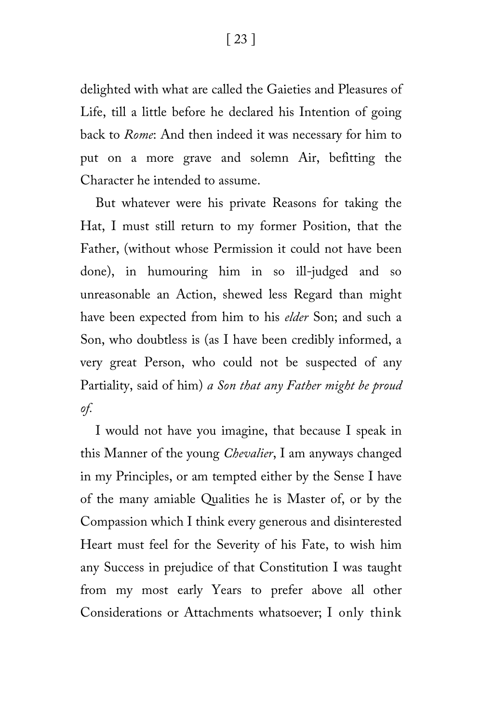delighted with what are called the Gaieties and Pleasures of Life, till a little before he declared his Intention of going back to *Rome*: And then indeed it was necessary for him to put on a more grave and solemn Air, befitting the Character he intended to assume.

But whatever were his private Reasons for taking the Hat, I must still return to my former Position, that the Father, (without whose Permission it could not have been done), in humouring him in so ill-judged and so unreasonable an Action, shewed less Regard than might have been expected from him to his *elder* Son; and such a Son, who doubtless is (as I have been credibly informed, a very great Person, who could not be suspected of any Partiality, said of him) *a Son that any Father might be proud of.*

I would not have you imagine, that because I speak in this Manner of the young *Chevalier*, I am anyways changed in my Principles, or am tempted either by the Sense I have of the many amiable Qualities he is Master of, or by the Compassion which I think every generous and disinterested Heart must feel for the Severity of his Fate, to wish him any Success in prejudice of that Constitution I was taught from my most early Years to prefer above all other Considerations or Attachments whatsoever; I only think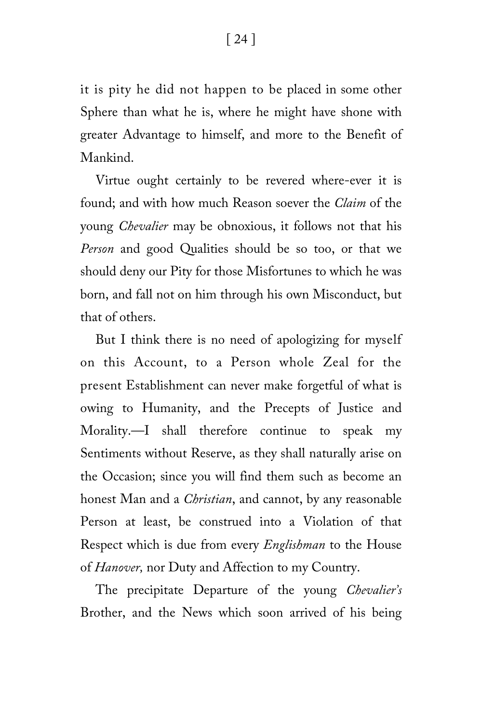it is pity he did not happen to be placed in some other Sphere than what he is, where he might have shone with greater Advantage to himself, and more to the Benefit of Mankind.

Virtue ought certainly to be revered where-ever it is found; and with how much Reason soever the *Claim* of the young *Chevalier* may be obnoxious, it follows not that his *Person* and good Qualities should be so too, or that we should deny our Pity for those Misfortunes to which he was born, and fall not on him through his own Misconduct, but that of others.

But I think there is no need of apologizing for myself on this Account, to a Person whole Zeal for the present Establishment can never make forgetful of what is owing to Humanity, and the Precepts of Justice and Morality.—I shall therefore continue to speak my Sentiments without Reserve, as they shall naturally arise on the Occasion; since you will find them such as become an honest Man and a *Christian*, and cannot, by any reasonable Person at least, be construed into a Violation of that Respect which is due from every *Englishman* to the House of *Hanover,* nor Duty and Affection to my Country.

The precipitate Departure of the young *Chevalier's*  Brother, and the News which soon arrived of his being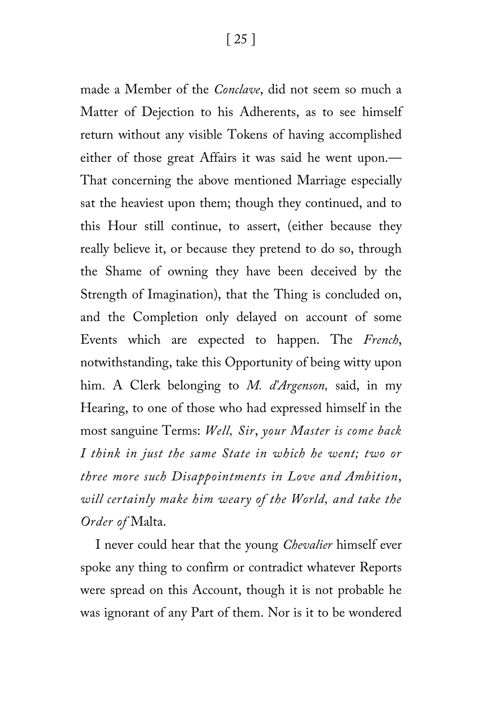made a Member of the *Conclave*, did not seem so much a Matter of Dejection to his Adherents, as to see himself return without any visible Tokens of having accomplished either of those great Affairs it was said he went upon.— That concerning the above mentioned Marriage especially sat the heaviest upon them; though they continued, and to this Hour still continue, to assert, (either because they really believe it, or because they pretend to do so, through the Shame of owning they have been deceived by the Strength of Imagination), that the Thing is concluded on, and the Completion only delayed on account of some Events which are expected to happen. The *French*, notwithstanding, take this Opportunity of being witty upon him. A Clerk belonging to *M. d'Argenson,* said, in my Hearing, to one of those who had expressed himself in the most sanguine Terms: *Well, Sir*, *your Master is come back I think in just the same State in which he went; two or three more such Disappointments in Love and Ambition*, *will certainly make him weary of the World, and take the Order of* Malta.

I never could hear that the young *Chevalier* himself ever spoke any thing to confirm or contradict whatever Reports were spread on this Account, though it is not probable he was ignorant of any Part of them. Nor is it to be wondered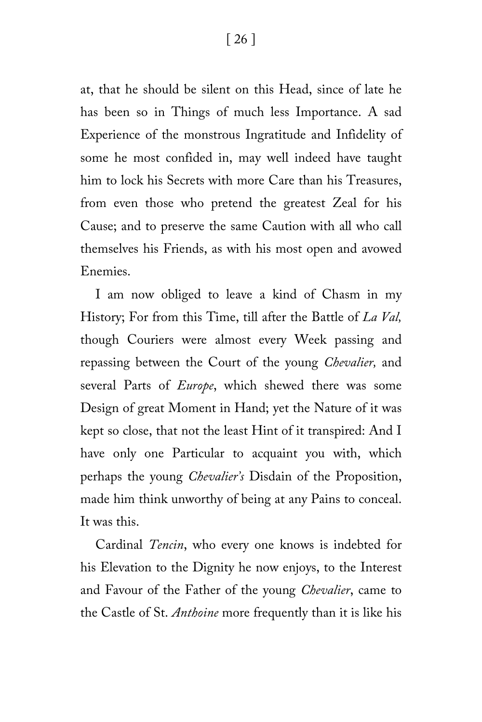[ 26 ]

at, that he should be silent on this Head, since of late he has been so in Things of much less Importance. A sad Experience of the monstrous Ingratitude and Infidelity of some he most confided in, may well indeed have taught him to lock his Secrets with more Care than his Treasures, from even those who pretend the greatest Zeal for his Cause; and to preserve the same Caution with all who call themselves his Friends, as with his most open and avowed Enemies.

I am now obliged to leave a kind of Chasm in my History; For from this Time, till after the Battle of *La Val,* though Couriers were almost every Week passing and repassing between the Court of the young *Chevalier,* and several Parts of *Europe*, which shewed there was some Design of great Moment in Hand; yet the Nature of it was kept so close, that not the least Hint of it transpired: And I have only one Particular to acquaint you with, which perhaps the young *Chevalier's* Disdain of the Proposition, made him think unworthy of being at any Pains to conceal. It was this.

Cardinal *Tencin*, who every one knows is indebted for his Elevation to the Dignity he now enjoys, to the Interest and Favour of the Father of the young *Chevalier*, came to the Castle of St. *Anthoine* more frequently than it is like his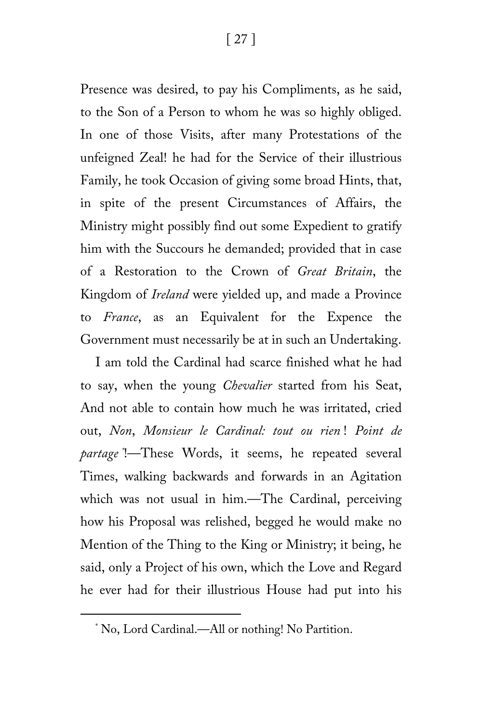Presence was desired, to pay his Compliments, as he said, to the Son of a Person to whom he was so highly obliged. In one of those Visits, after many Protestations of the unfeigned Zeal! he had for the Service of their illustrious Family, he took Occasion of giving some broad Hints, that, in spite of the present Circumstances of Affairs, the Ministry might possibly find out some Expedient to gratify him with the Succours he demanded; provided that in case of a Restoration to the Crown of *Great Britain*, the Kingdom of *Ireland* were yielded up, and made a Province to *France*, as an Equivalent for the Expence the Government must necessarily be at in such an Undertaking.

I am told the Cardinal had scarce finished what he had to say, when the young *Chevalier* started from his Seat, And not able to contain how much he was irritated, cried out, *Non*, *Monsieur le Cardinal: tout ou rien* ! *Point de partage [\\*](#page-26-0)* !—These Words, it seems, he repeated several Times, walking backwards and forwards in an Agitation which was not usual in him.—The Cardinal, perceiving how his Proposal was relished, begged he would make no Mention of the Thing to the King or Ministry; it being, he said, only a Project of his own, which the Love and Regard he ever had for their illustrious House had put into his

<span id="page-26-0"></span>ī

<sup>\*</sup> No, Lord Cardinal.—All or nothing! No Partition.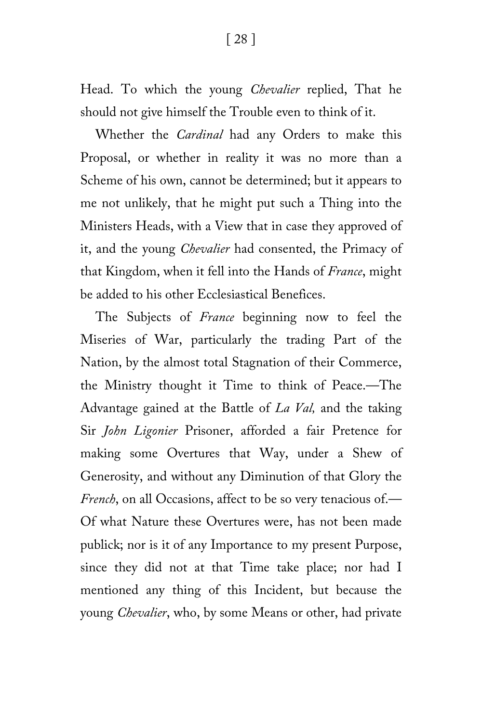Head. To which the young *Chevalier* replied, That he should not give himself the Trouble even to think of it.

Whether the *Cardinal* had any Orders to make this Proposal, or whether in reality it was no more than a Scheme of his own, cannot be determined; but it appears to me not unlikely, that he might put such a Thing into the Ministers Heads, with a View that in case they approved of it, and the young *Chevalier* had consented, the Primacy of that Kingdom, when it fell into the Hands of *France*, might be added to his other Ecclesiastical Benefices.

The Subjects of *France* beginning now to feel the Miseries of War, particularly the trading Part of the Nation, by the almost total Stagnation of their Commerce, the Ministry thought it Time to think of Peace.—The Advantage gained at the Battle of *La Val,* and the taking Sir *John Ligonier* Prisoner, afforded a fair Pretence for making some Overtures that Way, under a Shew of Generosity, and without any Diminution of that Glory the *French*, on all Occasions, affect to be so very tenacious of.— Of what Nature these Overtures were, has not been made publick; nor is it of any Importance to my present Purpose, since they did not at that Time take place; nor had I mentioned any thing of this Incident, but because the young *Chevalier*, who, by some Means or other, had private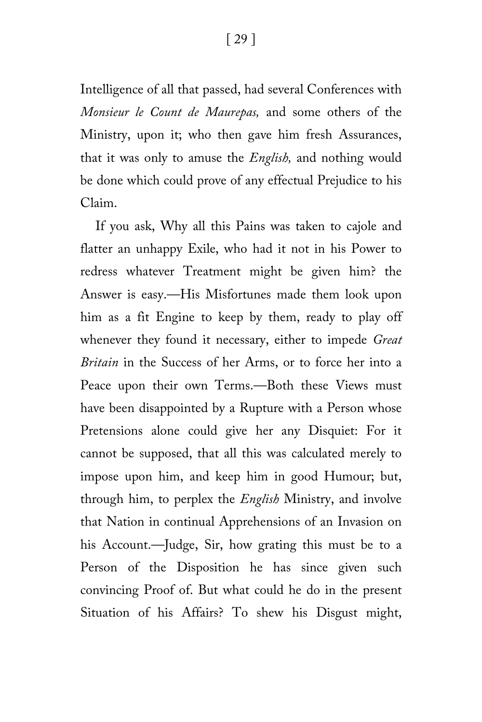Intelligence of all that passed, had several Conferences with *Monsieur le Count de Maurepas,* and some others of the Ministry, upon it; who then gave him fresh Assurances, that it was only to amuse the *English,* and nothing would be done which could prove of any effectual Prejudice to his Claim.

If you ask, Why all this Pains was taken to cajole and flatter an unhappy Exile, who had it not in his Power to redress whatever Treatment might be given him? the Answer is easy.—His Misfortunes made them look upon him as a fit Engine to keep by them, ready to play off whenever they found it necessary, either to impede *Great Britain* in the Success of her Arms, or to force her into a Peace upon their own Terms.—Both these Views must have been disappointed by a Rupture with a Person whose Pretensions alone could give her any Disquiet: For it cannot be supposed, that all this was calculated merely to impose upon him, and keep him in good Humour; but, through him, to perplex the *English* Ministry, and involve that Nation in continual Apprehensions of an Invasion on his Account.—Judge, Sir, how grating this must be to a Person of the Disposition he has since given such convincing Proof of. But what could he do in the present Situation of his Affairs? To shew his Disgust might,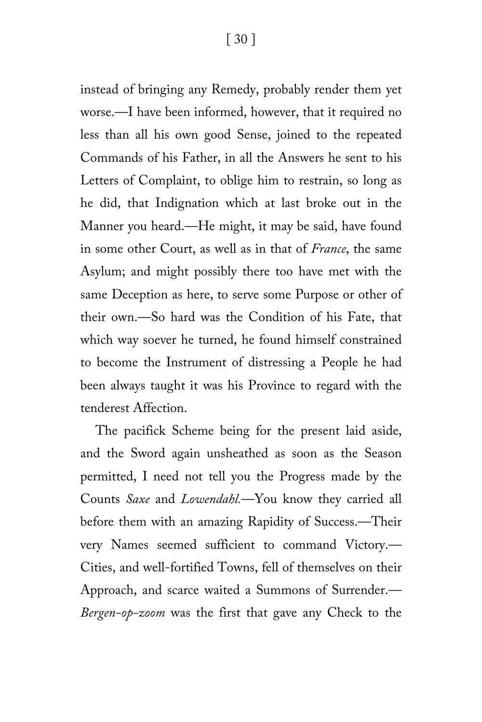instead of bringing any Remedy, probably render them yet worse.—I have been informed, however, that it required no less than all his own good Sense, joined to the repeated Commands of his Father, in all the Answers he sent to his Letters of Complaint, to oblige him to restrain, so long as he did, that Indignation which at last broke out in the Manner you heard.—He might, it may be said, have found in some other Court, as well as in that of *France*, the same Asylum; and might possibly there too have met with the same Deception as here, to serve some Purpose or other of their own.—So hard was the Condition of his Fate, that which way soever he turned, he found himself constrained to become the Instrument of distressing a People he had been always taught it was his Province to regard with the tenderest Affection.

The pacifick Scheme being for the present laid aside, and the Sword again unsheathed as soon as the Season permitted, I need not tell you the Progress made by the Counts *Saxe* and *Lowendahl.*—You know they carried all before them with an amazing Rapidity of Success.—Their very Names seemed sufficient to command Victory.— Cities, and well-fortified Towns, fell of themselves on their Approach, and scarce waited a Summons of Surrender.— *Bergen-op-zoom* was the first that gave any Check to the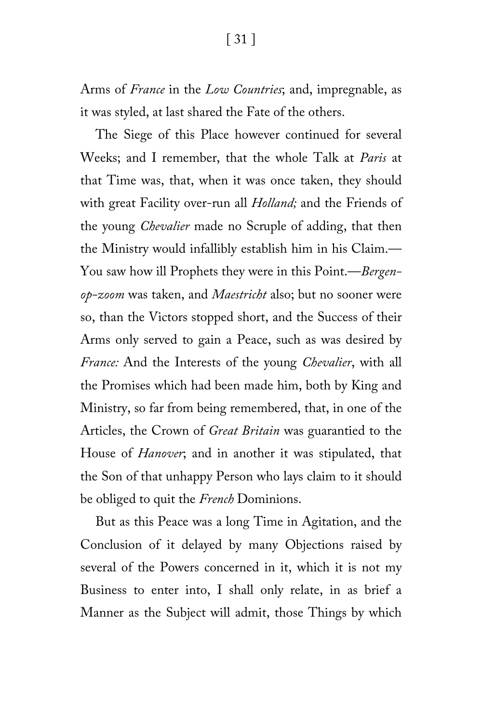Arms of *France* in the *Low Countries*; and, impregnable, as it was styled, at last shared the Fate of the others.

The Siege of this Place however continued for several Weeks; and I remember, that the whole Talk at *Paris* at that Time was, that, when it was once taken, they should with great Facility over-run all *Holland;* and the Friends of the young *Chevalier* made no Scruple of adding, that then the Ministry would infallibly establish him in his Claim.— You saw how ill Prophets they were in this Point.—*Bergenop-zoom* was taken, and *Maestricht* also; but no sooner were so, than the Victors stopped short, and the Success of their Arms only served to gain a Peace, such as was desired by *France:* And the Interests of the young *Chevalier*, with all the Promises which had been made him, both by King and Ministry, so far from being remembered, that, in one of the Articles, the Crown of *Great Britain* was guarantied to the House of *Hanover*; and in another it was stipulated, that the Son of that unhappy Person who lays claim to it should be obliged to quit the *French* Dominions.

But as this Peace was a long Time in Agitation, and the Conclusion of it delayed by many Objections raised by several of the Powers concerned in it, which it is not my Business to enter into, I shall only relate, in as brief a Manner as the Subject will admit, those Things by which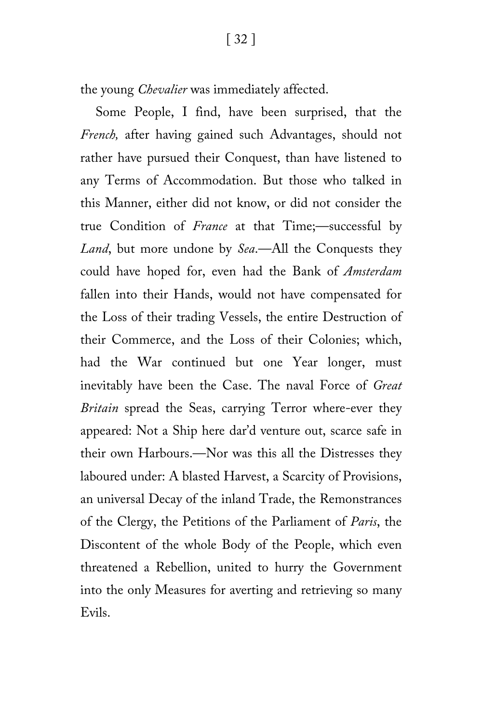the young *Chevalier* was immediately affected.

Some People, I find, have been surprised, that the *French,* after having gained such Advantages, should not rather have pursued their Conquest, than have listened to any Terms of Accommodation. But those who talked in this Manner, either did not know, or did not consider the true Condition of *France* at that Time;—successful by *Land*, but more undone by *Sea*.—All the Conquests they could have hoped for, even had the Bank of *Amsterdam* fallen into their Hands, would not have compensated for the Loss of their trading Vessels, the entire Destruction of their Commerce, and the Loss of their Colonies; which, had the War continued but one Year longer, must inevitably have been the Case. The naval Force of *Great Britain* spread the Seas, carrying Terror where-ever they appeared: Not a Ship here dar'd venture out, scarce safe in their own Harbours.—Nor was this all the Distresses they laboured under: A blasted Harvest, a Scarcity of Provisions, an universal Decay of the inland Trade, the Remonstrances of the Clergy, the Petitions of the Parliament of *Paris*, the Discontent of the whole Body of the People, which even threatened a Rebellion, united to hurry the Government into the only Measures for averting and retrieving so many Evils.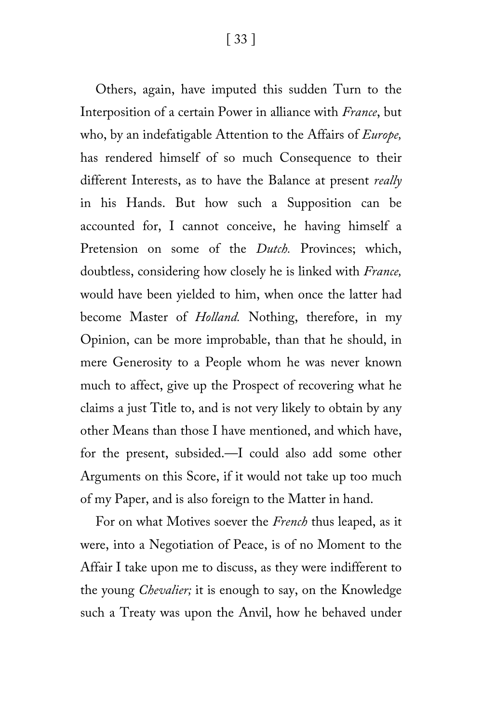[ 33 ]

Others, again, have imputed this sudden Turn to the Interposition of a certain Power in alliance with *France*, but who, by an indefatigable Attention to the Affairs of *Europe,* has rendered himself of so much Consequence to their different Interests, as to have the Balance at present *really* in his Hands. But how such a Supposition can be accounted for, I cannot conceive, he having himself a Pretension on some of the *Dutch.* Provinces; which, doubtless, considering how closely he is linked with *France,* would have been yielded to him, when once the latter had become Master of *Holland.* Nothing, therefore, in my Opinion, can be more improbable, than that he should, in mere Generosity to a People whom he was never known much to affect, give up the Prospect of recovering what he claims a just Title to, and is not very likely to obtain by any other Means than those I have mentioned, and which have, for the present, subsided.—I could also add some other Arguments on this Score, if it would not take up too much of my Paper, and is also foreign to the Matter in hand.

For on what Motives soever the *French* thus leaped, as it were, into a Negotiation of Peace, is of no Moment to the Affair I take upon me to discuss, as they were indifferent to the young *Chevalier;* it is enough to say, on the Knowledge such a Treaty was upon the Anvil, how he behaved under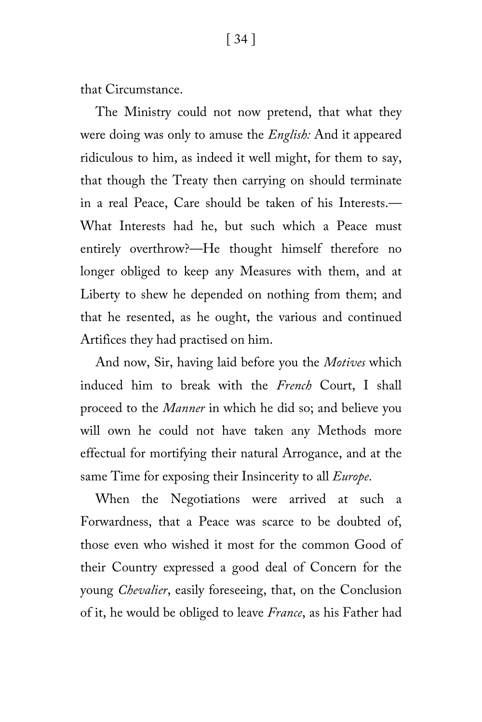that Circumstance.

The Ministry could not now pretend, that what they were doing was only to amuse the *English:* And it appeared ridiculous to him, as indeed it well might, for them to say, that though the Treaty then carrying on should terminate in a real Peace, Care should be taken of his Interests.— What Interests had he, but such which a Peace must entirely overthrow?—He thought himself therefore no longer obliged to keep any Measures with them, and at Liberty to shew he depended on nothing from them; and that he resented, as he ought, the various and continued Artifices they had practised on him.

And now, Sir, having laid before you the *Motives* which induced him to break with the *French* Court, I shall proceed to the *Manner* in which he did so; and believe you will own he could not have taken any Methods more effectual for mortifying their natural Arrogance, and at the same Time for exposing their Insincerity to all *Europe*.

When the Negotiations were arrived at such a Forwardness, that a Peace was scarce to be doubted of, those even who wished it most for the common Good of their Country expressed a good deal of Concern for the young *Chevalier*, easily foreseeing, that, on the Conclusion of it, he would be obliged to leave *France*, as his Father had

#### [ 34 ]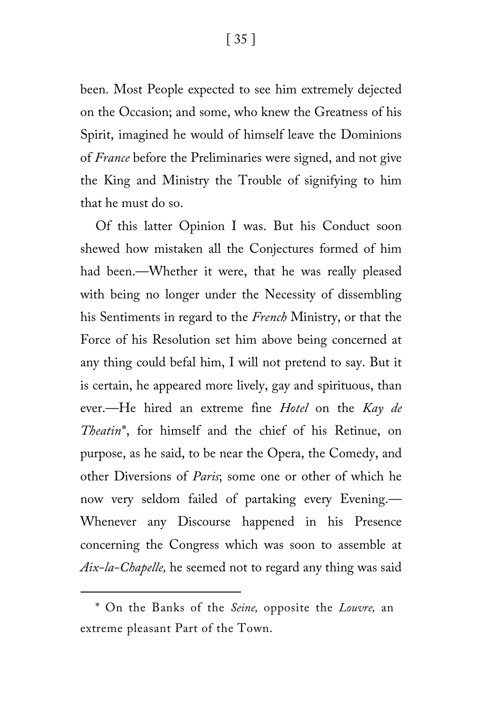[ 35 ]

been. Most People expected to see him extremely dejected on the Occasion; and some, who knew the Greatness of his Spirit, imagined he would of himself leave the Dominions of *France* before the Preliminaries were signed, and not give the King and Ministry the Trouble of signifying to him that he must do so.

Of this latter Opinion I was. But his Conduct soon shewed how mistaken all the Conjectures formed of him had been.—Whether it were, that he was really pleased with being no longer under the Necessity of dissembling his Sentiments in regard to the *French* Ministry, or that the Force of his Resolution set him above being concerned at any thing could befal him, I will not pretend to say. But it is certain, he appeared more lively, gay and spirituous, than ever.—He hired an extreme fine *Hotel* on the *Kay de Theatin*[\\*](#page-34-0), for himself and the chief of his Retinue, on purpose, as he said, to be near the Opera, the Comedy, and other Diversions of *Paris*; some one or other of which he now very seldom failed of partaking every Evening.— Whenever any Discourse happened in his Presence concerning the Congress which was soon to assemble at *Aix-la-Chapelle,* he seemed not to regard any thing was said

ī

<span id="page-34-0"></span><sup>\*</sup> On the Banks of the *Seine,* opposite the *Louvre,* an extreme pleasant Part of the Town.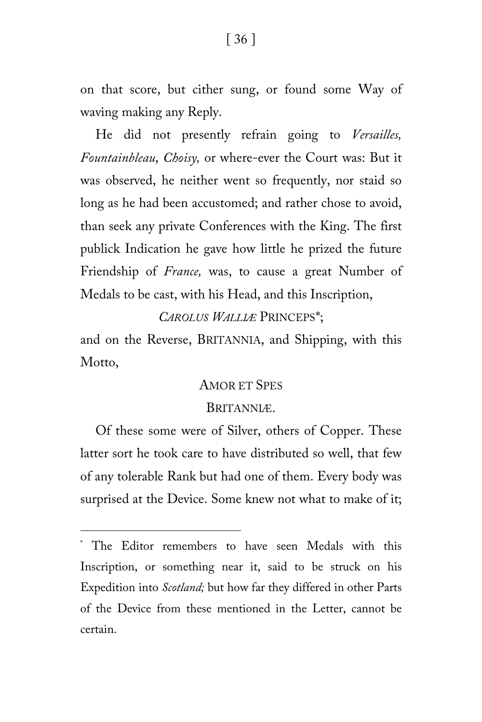on that score, but cither sung, or found some Way of waving making any Reply.

He did not presently refrain going to *Versailles, Fountainbleau*, *Choisy,* or where-ever the Court was: But it was observed, he neither went so frequently, nor staid so long as he had been accustomed; and rather chose to avoid, than seek any private Conferences with the King. The first publick Indication he gave how little he prized the future Friendship of *France,* was, to cause a great Number of Medals to be cast, with his Head, and this Inscription,

*CAROLUS WALLIÆ* PRINCEPS[\\*;](#page-35-0)

and on the Reverse, BRITANNIA, and Shipping, with this Motto,

#### AMOR ET SPES

#### BRITANNIÆ.

Of these some were of Silver, others of Copper. These latter sort he took care to have distributed so well, that few of any tolerable Rank but had one of them. Every body was surprised at the Device. Some knew not what to make of it;

ī

<span id="page-35-0"></span><sup>\*</sup> The Editor remembers to have seen Medals with this Inscription, or something near it, said to be struck on his Expedition into *Scotland;* but how far they differed in other Parts of the Device from these mentioned in the Letter, cannot be certain.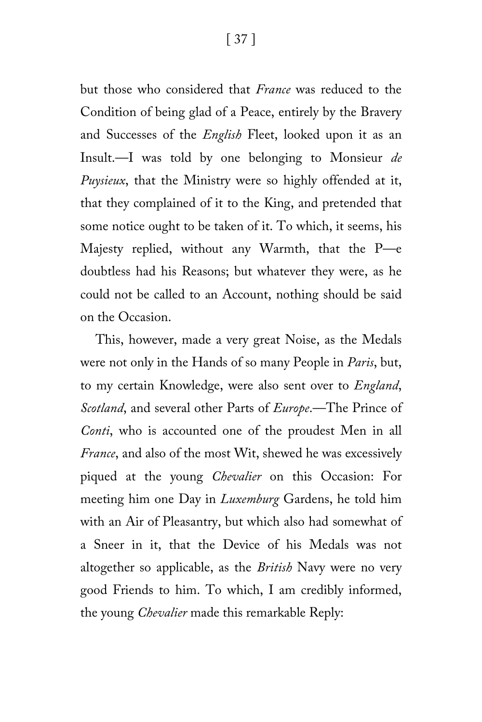but those who considered that *France* was reduced to the Condition of being glad of a Peace, entirely by the Bravery and Successes of the *English* Fleet, looked upon it as an Insult.—I was told by one belonging to Monsieur *de Puysieux*, that the Ministry were so highly offended at it, that they complained of it to the King, and pretended that some notice ought to be taken of it. To which, it seems, his Majesty replied, without any Warmth, that the P—e doubtless had his Reasons; but whatever they were, as he could not be called to an Account, nothing should be said on the Occasion.

This, however, made a very great Noise, as the Medals were not only in the Hands of so many People in *Paris*, but, to my certain Knowledge, were also sent over to *England*, *Scotland*, and several other Parts of *Europe*.—The Prince of *Conti*, who is accounted one of the proudest Men in all *France*, and also of the most Wit, shewed he was excessively piqued at the young *Chevalier* on this Occasion: For meeting him one Day in *Luxemburg* Gardens, he told him with an Air of Pleasantry, but which also had somewhat of a Sneer in it, that the Device of his Medals was not altogether so applicable, as the *British* Navy were no very good Friends to him. To which, I am credibly informed, the young *Chevalier* made this remarkable Reply: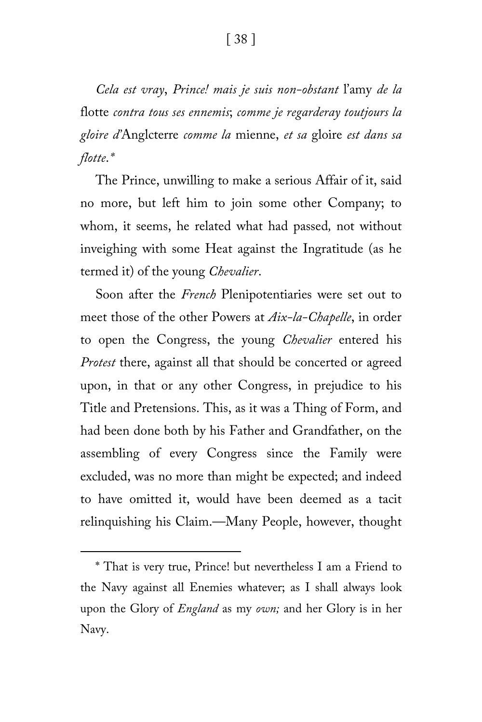[ 38 ]

*Cela est vray*, *Prince! mais je suis non-obstant* l'amy *de la* flotte *contra tous ses ennemis*; *comme je regarderay toutjours la gloire d'*Anglcterre *comme la* mienne, *et sa* gloire *est dans sa flotte*.*[\\*](#page-37-0)*

The Prince, unwilling to make a serious Affair of it, said no more, but left him to join some other Company; to whom, it seems, he related what had passed*,* not without inveighing with some Heat against the Ingratitude (as he termed it) of the young *Chevalier*.

Soon after the *French* Plenipotentiaries were set out to meet those of the other Powers at *Aix-la-Chapelle*, in order to open the Congress, the young *Chevalier* entered his *Protest* there, against all that should be concerted or agreed upon, in that or any other Congress, in prejudice to his Title and Pretensions. This, as it was a Thing of Form, and had been done both by his Father and Grandfather, on the assembling of every Congress since the Family were excluded, was no more than might be expected; and indeed to have omitted it, would have been deemed as a tacit relinquishing his Claim.—Many People, however, thought

ī

<span id="page-37-0"></span><sup>\*</sup> That is very true, Prince! but nevertheless I am a Friend to the Navy against all Enemies whatever; as I shall always look upon the Glory of *England* as my *own;* and her Glory is in her Navy.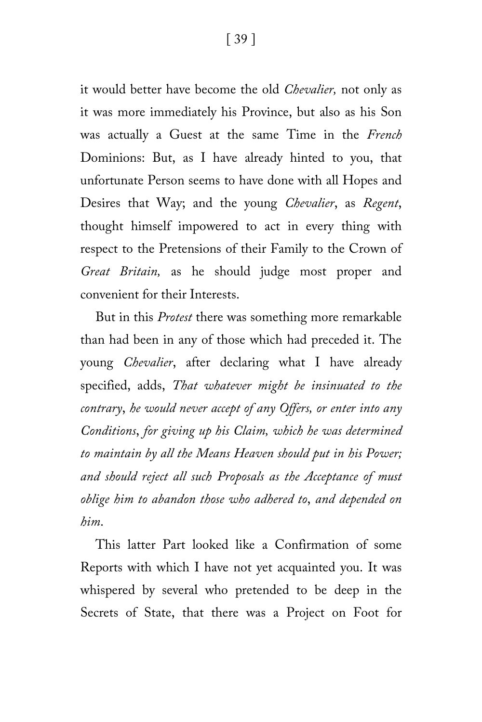it would better have become the old *Chevalier,* not only as it was more immediately his Province, but also as his Son was actually a Guest at the same Time in the *French* Dominions: But, as I have already hinted to you, that unfortunate Person seems to have done with all Hopes and Desires that Way; and the young *Chevalier*, as *Regent*, thought himself impowered to act in every thing with respect to the Pretensions of their Family to the Crown of *Great Britain,* as he should judge most proper and convenient for their Interests.

But in this *Protest* there was something more remarkable than had been in any of those which had preceded it. The young *Chevalier*, after declaring what I have already specified, adds, *That whatever might be insinuated to the contrary*, *he would never accept of any Offers, or enter into any Conditions*, *for giving up his Claim, which he was determined to maintain by all the Means Heaven should put in his Power; and should reject all such Proposals as the Acceptance of must oblige him to abandon those who adhered to*, *and depended on him*.

This latter Part looked like a Confirmation of some Reports with which I have not yet acquainted you. It was whispered by several who pretended to be deep in the Secrets of State, that there was a Project on Foot for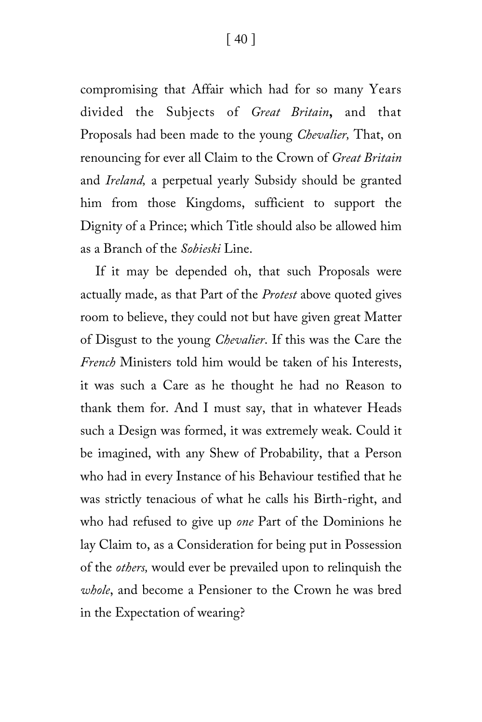compromising that Affair which had for so many Years divided the Subjects of *Great Britain***,** and that Proposals had been made to the young *Chevalier,* That, on renouncing for ever all Claim to the Crown of *Great Britain* and *Ireland,* a perpetual yearly Subsidy should be granted him from those Kingdoms, sufficient to support the Dignity of a Prince; which Title should also be allowed him as a Branch of the *Sobieski* Line.

If it may be depended oh, that such Proposals were actually made, as that Part of the *Protest* above quoted gives room to believe, they could not but have given great Matter of Disgust to the young *Chevalier*. If this was the Care the *French* Ministers told him would be taken of his Interests, it was such a Care as he thought he had no Reason to thank them for. And I must say, that in whatever Heads such a Design was formed, it was extremely weak. Could it be imagined, with any Shew of Probability, that a Person who had in every Instance of his Behaviour testified that he was strictly tenacious of what he calls his Birth-right, and who had refused to give up *one* Part of the Dominions he lay Claim to, as a Consideration for being put in Possession of the *others,* would ever be prevailed upon to relinquish the *whole*, and become a Pensioner to the Crown he was bred in the Expectation of wearing?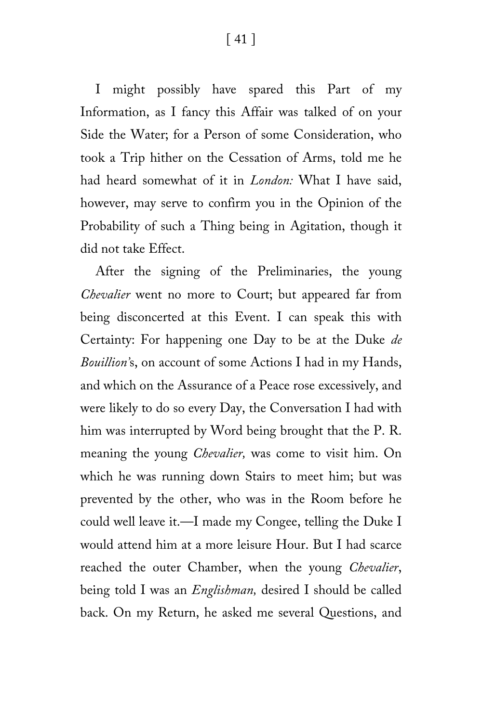[ 41 ]

I might possibly have spared this Part of my Information, as I fancy this Affair was talked of on your Side the Water; for a Person of some Consideration, who took a Trip hither on the Cessation of Arms, told me he had heard somewhat of it in *London:* What I have said, however, may serve to confirm you in the Opinion of the Probability of such a Thing being in Agitation, though it did not take Effect.

After the signing of the Preliminaries, the young *Chevalier* went no more to Court; but appeared far from being disconcerted at this Event. I can speak this with Certainty: For happening one Day to be at the Duke *de Bouillion'*s, on account of some Actions I had in my Hands, and which on the Assurance of a Peace rose excessively, and were likely to do so every Day, the Conversation I had with him was interrupted by Word being brought that the P. R. meaning the young *Chevalier,* was come to visit him. On which he was running down Stairs to meet him; but was prevented by the other, who was in the Room before he could well leave it.—I made my Congee, telling the Duke I would attend him at a more leisure Hour. But I had scarce reached the outer Chamber, when the young *Chevalier*, being told I was an *Englishman,* desired I should be called back. On my Return, he asked me several Questions, and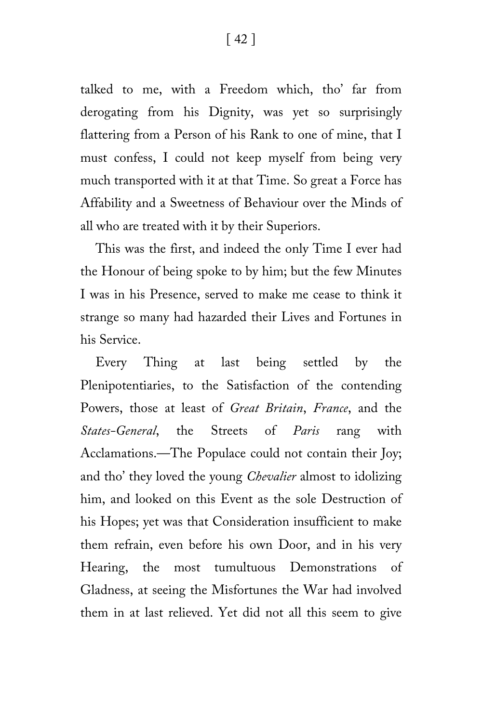talked to me, with a Freedom which, tho' far from derogating from his Dignity, was yet so surprisingly flattering from a Person of his Rank to one of mine, that I must confess, I could not keep myself from being very much transported with it at that Time. So great a Force has Affability and a Sweetness of Behaviour over the Minds of all who are treated with it by their Superiors.

This was the first, and indeed the only Time I ever had the Honour of being spoke to by him; but the few Minutes I was in his Presence, served to make me cease to think it strange so many had hazarded their Lives and Fortunes in his Service.

Every Thing at last being settled by the Plenipotentiaries, to the Satisfaction of the contending Powers, those at least of *Great Britain*, *France*, and the *States-General*, the Streets of *Paris* rang with Acclamations.—The Populace could not contain their Joy; and tho' they loved the young *Chevalier* almost to idolizing him, and looked on this Event as the sole Destruction of his Hopes; yet was that Consideration insufficient to make them refrain, even before his own Door, and in his very Hearing, the most tumultuous Demonstrations of Gladness, at seeing the Misfortunes the War had involved them in at last relieved. Yet did not all this seem to give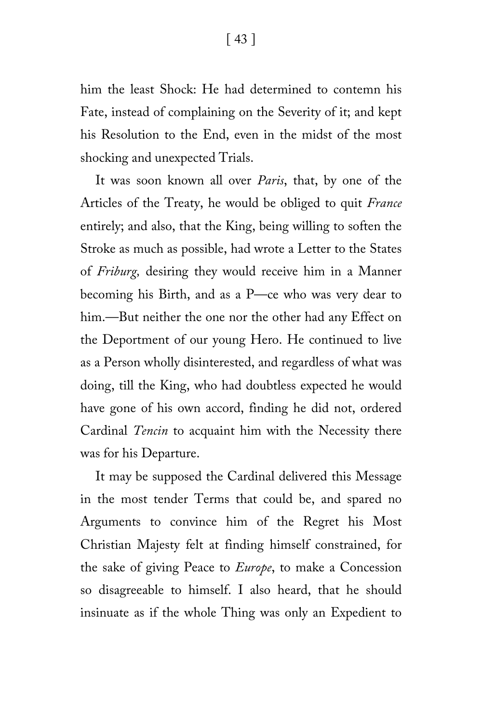[ 43 ]

him the least Shock: He had determined to contemn his Fate, instead of complaining on the Severity of it; and kept his Resolution to the End, even in the midst of the most shocking and unexpected Trials.

It was soon known all over *Paris*, that, by one of the Articles of the Treaty, he would be obliged to quit *France* entirely; and also, that the King, being willing to soften the Stroke as much as possible, had wrote a Letter to the States of *Friburg,* desiring they would receive him in a Manner becoming his Birth, and as a P—ce who was very dear to him.—But neither the one nor the other had any Effect on the Deportment of our young Hero. He continued to live as a Person wholly disinterested, and regardless of what was doing, till the King, who had doubtless expected he would have gone of his own accord, finding he did not, ordered Cardinal *Tencin* to acquaint him with the Necessity there was for his Departure.

It may be supposed the Cardinal delivered this Message in the most tender Terms that could be, and spared no Arguments to convince him of the Regret his Most Christian Majesty felt at finding himself constrained, for the sake of giving Peace to *Europe*, to make a Concession so disagreeable to himself. I also heard, that he should insinuate as if the whole Thing was only an Expedient to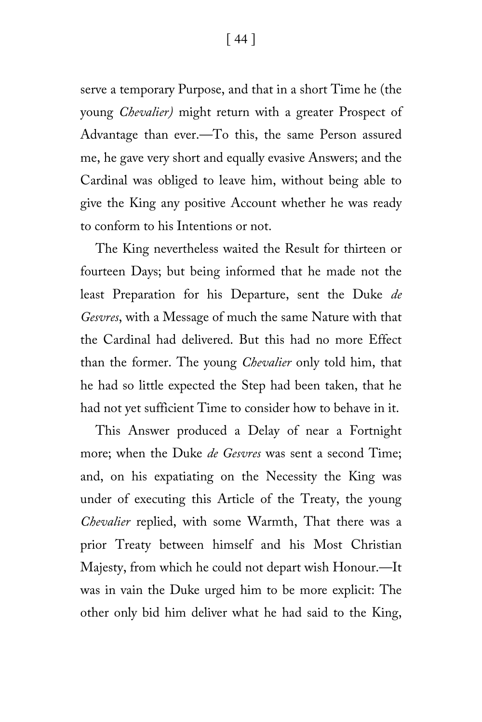[ 44 ]

serve a temporary Purpose, and that in a short Time he (the young *Chevalier)* might return with a greater Prospect of Advantage than ever.—To this, the same Person assured me, he gave very short and equally evasive Answers; and the Cardinal was obliged to leave him, without being able to give the King any positive Account whether he was ready to conform to his Intentions or not.

The King nevertheless waited the Result for thirteen or fourteen Days; but being informed that he made not the least Preparation for his Departure, sent the Duke *de Gesvres*, with a Message of much the same Nature with that the Cardinal had delivered. But this had no more Effect than the former. The young *Chevalier* only told him, that he had so little expected the Step had been taken, that he had not yet sufficient Time to consider how to behave in it.

This Answer produced a Delay of near a Fortnight more; when the Duke *de Gesvres* was sent a second Time; and, on his expatiating on the Necessity the King was under of executing this Article of the Treaty, the young *Chevalier* replied, with some Warmth, That there was a prior Treaty between himself and his Most Christian Majesty, from which he could not depart wish Honour.—It was in vain the Duke urged him to be more explicit: The other only bid him deliver what he had said to the King,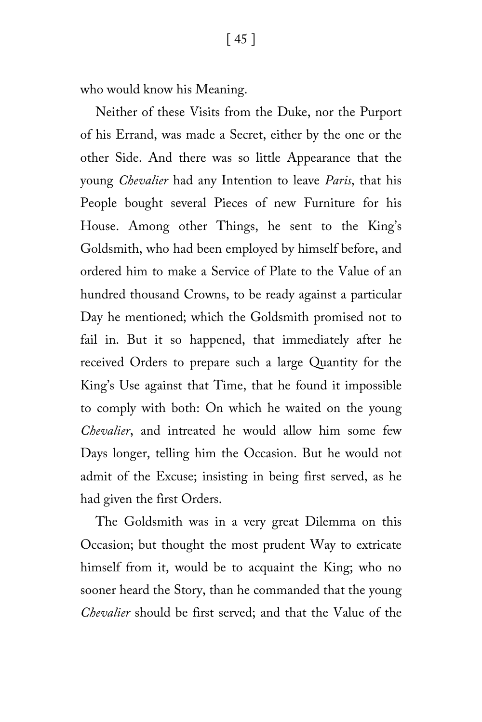who would know his Meaning.

Neither of these Visits from the Duke, nor the Purport of his Errand, was made a Secret, either by the one or the other Side. And there was so little Appearance that the young *Chevalier* had any Intention to leave *Paris*, that his People bought several Pieces of new Furniture for his House. Among other Things, he sent to the King's Goldsmith, who had been employed by himself before, and ordered him to make a Service of Plate to the Value of an hundred thousand Crowns, to be ready against a particular Day he mentioned; which the Goldsmith promised not to fail in. But it so happened, that immediately after he received Orders to prepare such a large Quantity for the King's Use against that Time, that he found it impossible to comply with both: On which he waited on the young *Chevalier*, and intreated he would allow him some few Days longer, telling him the Occasion. But he would not admit of the Excuse; insisting in being first served, as he had given the first Orders.

The Goldsmith was in a very great Dilemma on this Occasion; but thought the most prudent Way to extricate himself from it, would be to acquaint the King; who no sooner heard the Story, than he commanded that the young *Chevalier* should be first served; and that the Value of the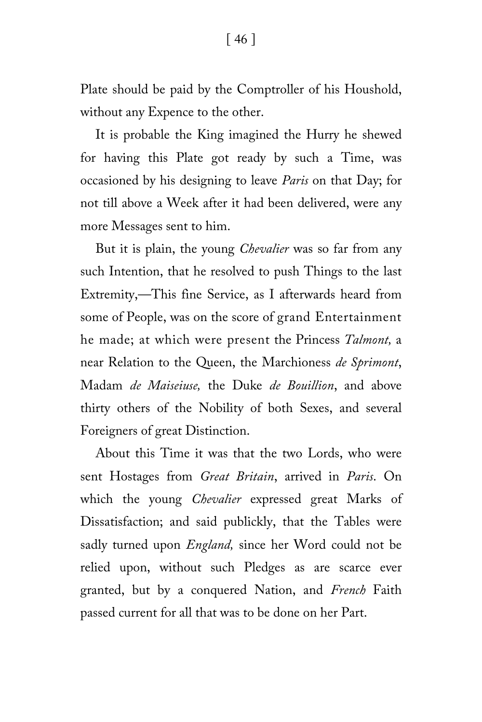Plate should be paid by the Comptroller of his Houshold, without any Expence to the other.

It is probable the King imagined the Hurry he shewed for having this Plate got ready by such a Time, was occasioned by his designing to leave *Paris* on that Day; for not till above a Week after it had been delivered, were any more Messages sent to him.

But it is plain, the young *Chevalier* was so far from any such Intention, that he resolved to push Things to the last Extremity,—This fine Service, as I afterwards heard from some of People, was on the score of grand Entertainment he made; at which were present the Princess *Talmont,* a near Relation to the Queen, the Marchioness *de Sprimont*, Madam *de Maiseiuse,* the Duke *de Bouillion*, and above thirty others of the Nobility of both Sexes, and several Foreigners of great Distinction.

About this Time it was that the two Lords, who were sent Hostages from *Great Britain*, arrived in *Paris*. On which the young *Chevalier* expressed great Marks of Dissatisfaction; and said publickly, that the Tables were sadly turned upon *England,* since her Word could not be relied upon, without such Pledges as are scarce ever granted, but by a conquered Nation, and *French* Faith passed current for all that was to be done on her Part.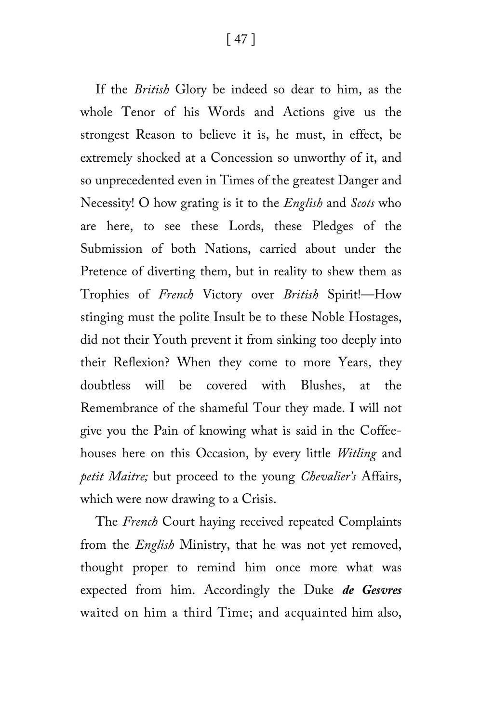[ 47 ]

If the *British* Glory be indeed so dear to him, as the whole Tenor of his Words and Actions give us the strongest Reason to believe it is, he must, in effect, be extremely shocked at a Concession so unworthy of it, and so unprecedented even in Times of the greatest Danger and Necessity! O how grating is it to the *English* and *Scots* who are here, to see these Lords, these Pledges of the Submission of both Nations, carried about under the Pretence of diverting them, but in reality to shew them as Trophies of *French* Victory over *British* Spirit!—How stinging must the polite Insult be to these Noble Hostages, did not their Youth prevent it from sinking too deeply into their Reflexion? When they come to more Years, they doubtless will be covered with Blushes, at the Remembrance of the shameful Tour they made. I will not give you the Pain of knowing what is said in the Coffeehouses here on this Occasion, by every little *Witling* and *petit Maitre;* but proceed to the young *Chevalier's* Affairs, which were now drawing to a Crisis.

The *French* Court haying received repeated Complaints from the *English* Ministry, that he was not yet removed, thought proper to remind him once more what was expected from him. Accordingly the Duke *de Gesvres* waited on him a third Time; and acquainted him also,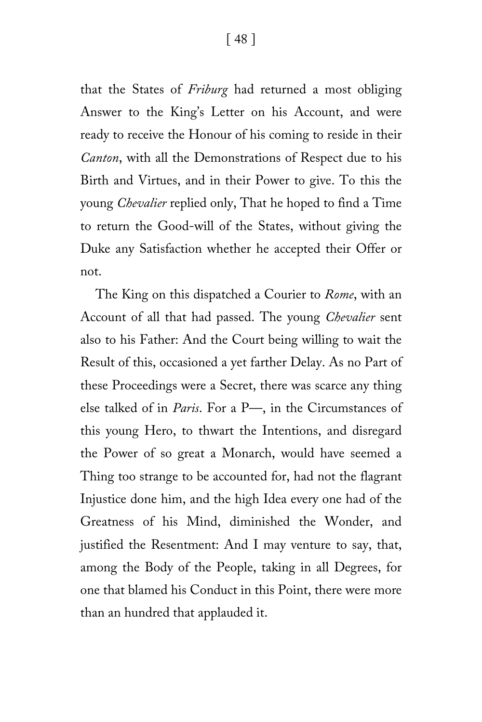that the States of *Friburg* had returned a most obliging Answer to the King's Letter on his Account, and were ready to receive the Honour of his coming to reside in their *Canton*, with all the Demonstrations of Respect due to his Birth and Virtues, and in their Power to give. To this the young *Chevalier* replied only, That he hoped to find a Time to return the Good-will of the States, without giving the Duke any Satisfaction whether he accepted their Offer or not.

The King on this dispatched a Courier to *Rome*, with an Account of all that had passed. The young *Chevalier* sent also to his Father: And the Court being willing to wait the Result of this, occasioned a yet farther Delay. As no Part of these Proceedings were a Secret, there was scarce any thing else talked of in *Paris*. For a P—, in the Circumstances of this young Hero, to thwart the Intentions, and disregard the Power of so great a Monarch, would have seemed a Thing too strange to be accounted for, had not the flagrant Injustice done him, and the high Idea every one had of the Greatness of his Mind, diminished the Wonder, and justified the Resentment: And I may venture to say, that, among the Body of the People, taking in all Degrees, for one that blamed his Conduct in this Point, there were more than an hundred that applauded it.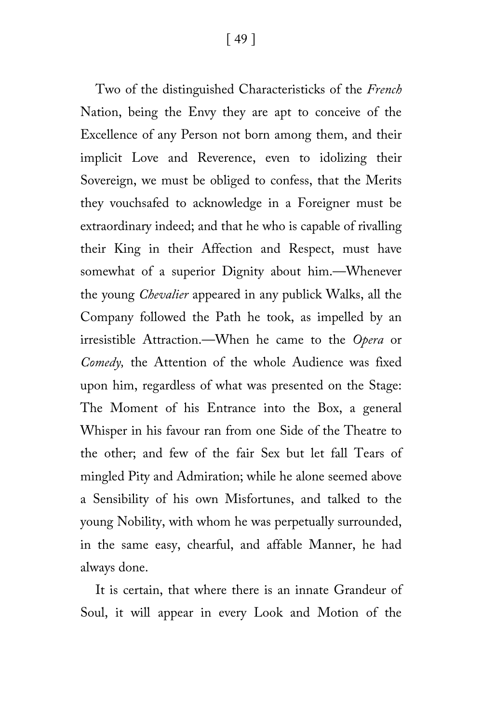[ 49 ]

Two of the distinguished Characteristicks of the *French* Nation, being the Envy they are apt to conceive of the Excellence of any Person not born among them, and their implicit Love and Reverence, even to idolizing their Sovereign, we must be obliged to confess, that the Merits they vouchsafed to acknowledge in a Foreigner must be extraordinary indeed; and that he who is capable of rivalling their King in their Affection and Respect, must have somewhat of a superior Dignity about him.—Whenever the young *Chevalier* appeared in any publick Walks, all the Company followed the Path he took, as impelled by an irresistible Attraction.—When he came to the *Opera* or *Comedy,* the Attention of the whole Audience was fixed upon him, regardless of what was presented on the Stage: The Moment of his Entrance into the Box, a general Whisper in his favour ran from one Side of the Theatre to the other; and few of the fair Sex but let fall Tears of mingled Pity and Admiration; while he alone seemed above a Sensibility of his own Misfortunes, and talked to the young Nobility, with whom he was perpetually surrounded, in the same easy, chearful, and affable Manner, he had always done.

It is certain, that where there is an innate Grandeur of Soul, it will appear in every Look and Motion of the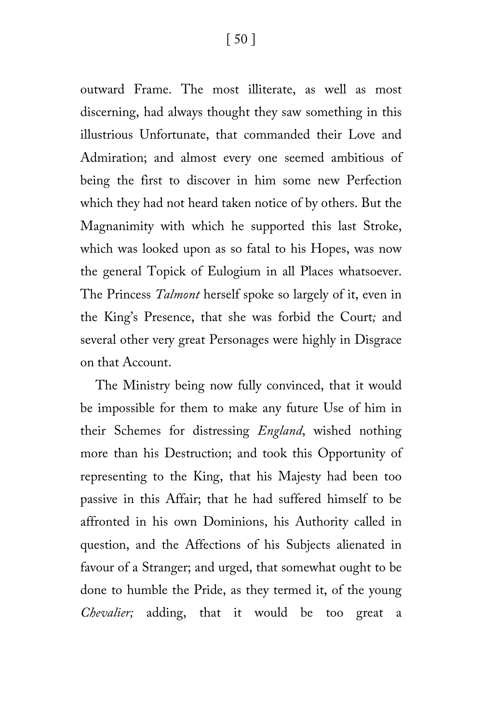outward Frame. The most illiterate, as well as most discerning, had always thought they saw something in this illustrious Unfortunate, that commanded their Love and Admiration; and almost every one seemed ambitious of being the first to discover in him some new Perfection which they had not heard taken notice of by others. But the Magnanimity with which he supported this last Stroke, which was looked upon as so fatal to his Hopes, was now the general Topick of Eulogium in all Places whatsoever. The Princess *Talmont* herself spoke so largely of it, even in the King's Presence, that she was forbid the Court*;* and several other very great Personages were highly in Disgrace on that Account.

The Ministry being now fully convinced, that it would be impossible for them to make any future Use of him in their Schemes for distressing *England*, wished nothing more than his Destruction; and took this Opportunity of representing to the King, that his Majesty had been too passive in this Affair; that he had suffered himself to be affronted in his own Dominions, his Authority called in question, and the Affections of his Subjects alienated in favour of a Stranger; and urged, that somewhat ought to be done to humble the Pride, as they termed it, of the young *Chevalier;* adding, that it would be too great a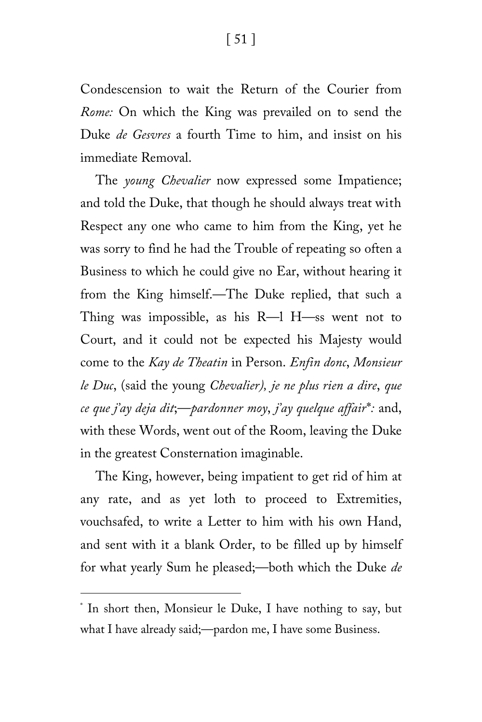Condescension to wait the Return of the Courier from *Rome:* On which the King was prevailed on to send the Duke *de Gesvres* a fourth Time to him, and insist on his immediate Removal.

The *young Chevalier* now expressed some Impatience; and told the Duke, that though he should always treat with Respect any one who came to him from the King, yet he was sorry to find he had the Trouble of repeating so often a Business to which he could give no Ear, without hearing it from the King himself.—The Duke replied, that such a Thing was impossible, as his R—l H—ss went not to Court, and it could not be expected his Majesty would come to the *Kay de Theatin* in Person. *Enfin donc*, *Monsieur le Duc*, (said the young *Chevalier), je ne plus rien a dire*, *que ce que j'ay deja dit*;—*pardonner moy*, *j'ay quelque affair*[\\*](#page-50-0)*:* and, with these Words, went out of the Room, leaving the Duke in the greatest Consternation imaginable.

The King, however, being impatient to get rid of him at any rate, and as yet loth to proceed to Extremities, vouchsafed, to write a Letter to him with his own Hand, and sent with it a blank Order, to be filled up by himself for what yearly Sum he pleased;—both which the Duke *de* 

ī

<span id="page-50-0"></span><sup>\*</sup> In short then, Monsieur le Duke, I have nothing to say, but what I have already said;—pardon me, I have some Business.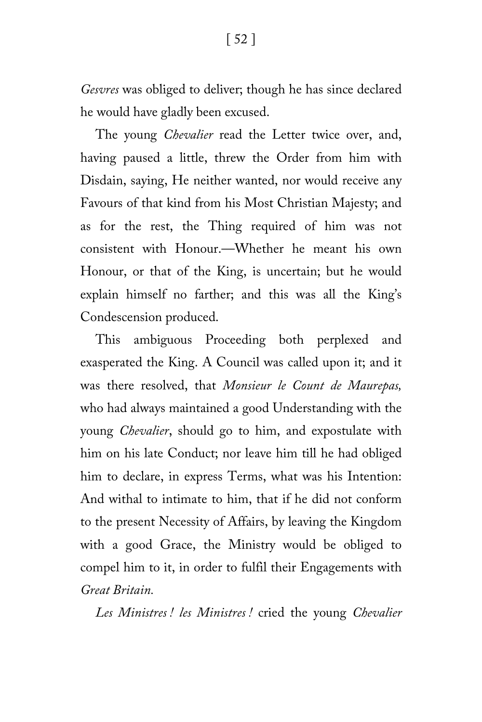*Gesvres* was obliged to deliver; though he has since declared he would have gladly been excused.

The young *Chevalier* read the Letter twice over, and, having paused a little, threw the Order from him with Disdain, saying, He neither wanted, nor would receive any Favours of that kind from his Most Christian Majesty; and as for the rest, the Thing required of him was not consistent with Honour.—Whether he meant his own Honour, or that of the King, is uncertain; but he would explain himself no farther; and this was all the King's Condescension produced.

This ambiguous Proceeding both perplexed and exasperated the King. A Council was called upon it; and it was there resolved, that *Monsieur le Count de Maurepas,* who had always maintained a good Understanding with the young *Chevalier*, should go to him, and expostulate with him on his late Conduct; nor leave him till he had obliged him to declare, in express Terms, what was his Intention: And withal to intimate to him, that if he did not conform to the present Necessity of Affairs, by leaving the Kingdom with a good Grace, the Ministry would be obliged to compel him to it, in order to fulfil their Engagements with *Great Britain.*

*Les Ministres ! les Ministres !* cried the young *Chevalier*

[ 52 ]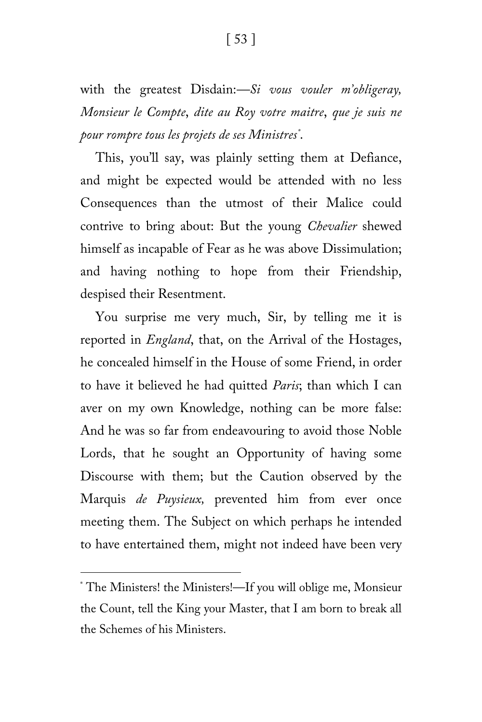with the greatest Disdain:*—Si vous vouler m'obligeray, Monsieur le Compte*, *dite au Roy votre maitre*, *que je suis ne pour rompre tous les projets de ses Ministres[\\*](#page-52-0)* .

This, you'll say, was plainly setting them at Defiance, and might be expected would be attended with no less Consequences than the utmost of their Malice could contrive to bring about: But the young *Chevalier* shewed himself as incapable of Fear as he was above Dissimulation; and having nothing to hope from their Friendship, despised their Resentment.

You surprise me very much, Sir, by telling me it is reported in *England*, that, on the Arrival of the Hostages, he concealed himself in the House of some Friend, in order to have it believed he had quitted *Paris*; than which I can aver on my own Knowledge, nothing can be more false: And he was so far from endeavouring to avoid those Noble Lords, that he sought an Opportunity of having some Discourse with them; but the Caution observed by the Marquis *de Puysieux,* prevented him from ever once meeting them. The Subject on which perhaps he intended to have entertained them, might not indeed have been very

ī

<span id="page-52-0"></span><sup>\*</sup> The Ministers! the Ministers!—If you will oblige me, Monsieur the Count, tell the King your Master, that I am born to break all the Schemes of his Ministers.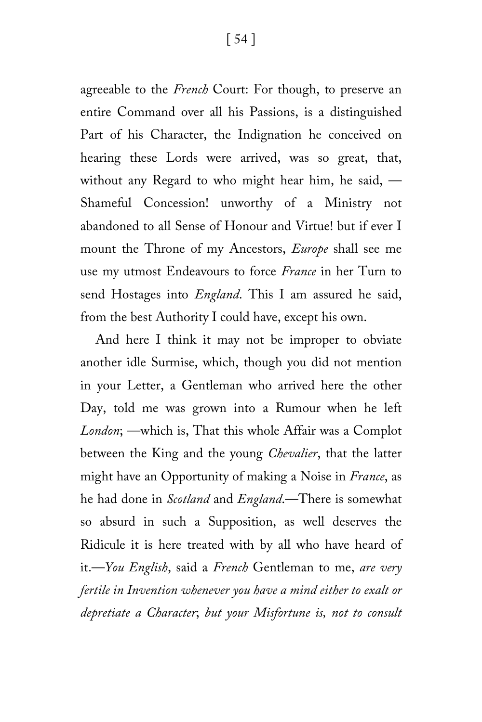agreeable to the *French* Court: For though, to preserve an entire Command over all his Passions, is a distinguished Part of his Character, the Indignation he conceived on hearing these Lords were arrived, was so great, that, without any Regard to who might hear him, he said, — Shameful Concession! unworthy of a Ministry not abandoned to all Sense of Honour and Virtue! but if ever I mount the Throne of my Ancestors, *Europe* shall see me use my utmost Endeavours to force *France* in her Turn to send Hostages into *England*. This I am assured he said, from the best Authority I could have, except his own.

And here I think it may not be improper to obviate another idle Surmise, which, though you did not mention in your Letter, a Gentleman who arrived here the other Day, told me was grown into a Rumour when he left *London*; —which is, That this whole Affair was a Complot between the King and the young *Chevalier*, that the latter might have an Opportunity of making a Noise in *France*, as he had done in *Scotland* and *England*.—There is somewhat so absurd in such a Supposition, as well deserves the Ridicule it is here treated with by all who have heard of it.—*You English*, said a *French* Gentleman to me, *are very fertile in Invention whenever you have a mind either to exalt or depretiate a Character*; *but your Misfortune is, not to consult*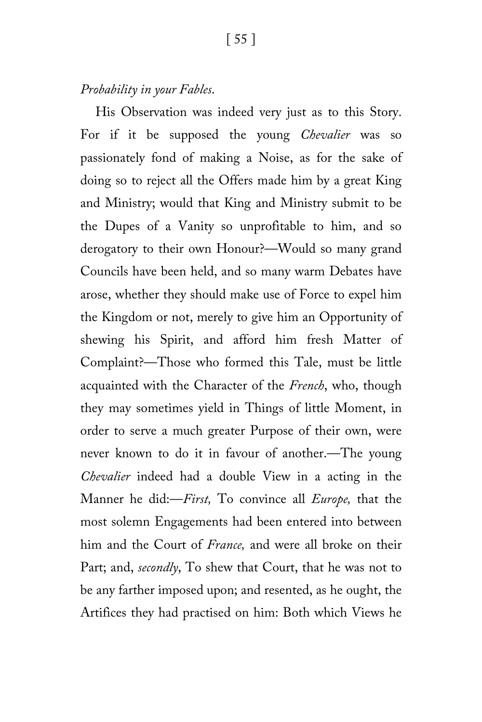#### *Probability in your Fables*.

His Observation was indeed very just as to this Story. For if it be supposed the young *Chevalier* was so passionately fond of making a Noise, as for the sake of doing so to reject all the Offers made him by a great King and Ministry; would that King and Ministry submit to be the Dupes of a Vanity so unprofitable to him, and so derogatory to their own Honour?—Would so many grand Councils have been held, and so many warm Debates have arose, whether they should make use of Force to expel him the Kingdom or not, merely to give him an Opportunity of shewing his Spirit, and afford him fresh Matter of Complaint?—Those who formed this Tale, must be little acquainted with the Character of the *French*, who, though they may sometimes yield in Things of little Moment, in order to serve a much greater Purpose of their own, were never known to do it in favour of another.—The young *Chevalier* indeed had a double View in a acting in the Manner he did:—*First,* To convince all *Europe,* that the most solemn Engagements had been entered into between him and the Court of *France,* and were all broke on their Part; and, *secondly*, To shew that Court, that he was not to be any farther imposed upon; and resented, as he ought, the Artifices they had practised on him: Both which Views he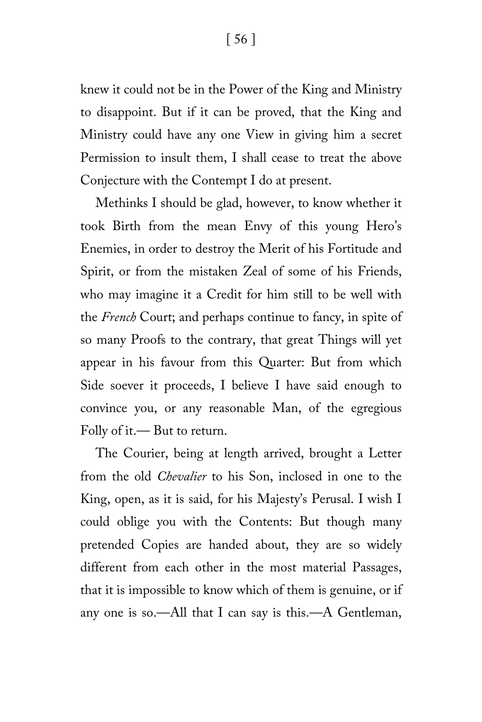[ 56 ]

knew it could not be in the Power of the King and Ministry to disappoint. But if it can be proved, that the King and Ministry could have any one View in giving him a secret Permission to insult them, I shall cease to treat the above Conjecture with the Contempt I do at present.

Methinks I should be glad, however, to know whether it took Birth from the mean Envy of this young Hero's Enemies, in order to destroy the Merit of his Fortitude and Spirit, or from the mistaken Zeal of some of his Friends, who may imagine it a Credit for him still to be well with the *French* Court; and perhaps continue to fancy, in spite of so many Proofs to the contrary, that great Things will yet appear in his favour from this Quarter: But from which Side soever it proceeds, I believe I have said enough to convince you, or any reasonable Man, of the egregious Folly of it.— But to return.

The Courier, being at length arrived, brought a Letter from the old *Chevalier* to his Son, inclosed in one to the King, open, as it is said, for his Majesty's Perusal. I wish I could oblige you with the Contents: But though many pretended Copies are handed about, they are so widely different from each other in the most material Passages, that it is impossible to know which of them is genuine, or if any one is so.—All that I can say is this.—A Gentleman,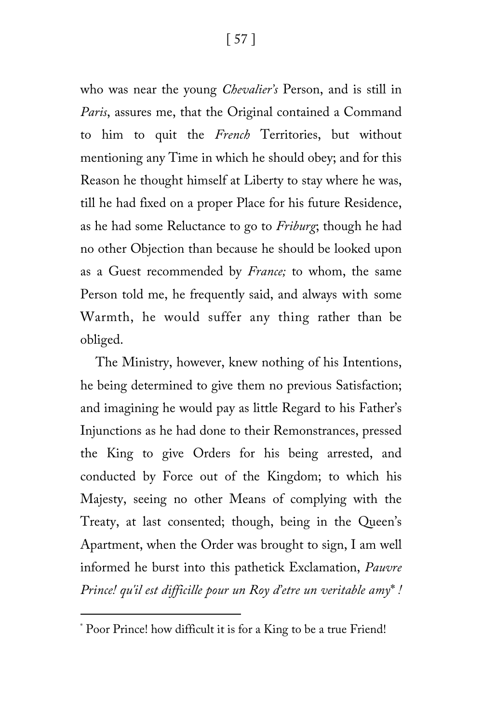who was near the young *Chevalier's* Person, and is still in *Paris*, assures me, that the Original contained a Command to him to quit the *French* Territories, but without mentioning any Time in which he should obey; and for this Reason he thought himself at Liberty to stay where he was, till he had fixed on a proper Place for his future Residence, as he had some Reluctance to go to *Friburg*; though he had no other Objection than because he should be looked upon as a Guest recommended by *France;* to whom, the same Person told me, he frequently said, and always with some Warmth, he would suffer any thing rather than be obliged.

The Ministry, however, knew nothing of his Intentions, he being determined to give them no previous Satisfaction; and imagining he would pay as little Regard to his Father's Injunctions as he had done to their Remonstrances, pressed the King to give Orders for his being arrested, and conducted by Force out of the Kingdom; to which his Majesty, seeing no other Means of complying with the Treaty, at last consented; though, being in the Queen's Apartment, when the Order was brought to sign, I am well informed he burst into this pathetick Exclamation, *Pauvre Prince! qu'il est difficille pour un Roy d'etre un veritable amy*[\\*](#page-56-0) *!*

<span id="page-56-0"></span>ī \* Poor Prince! how difficult it is for a King to be a true Friend!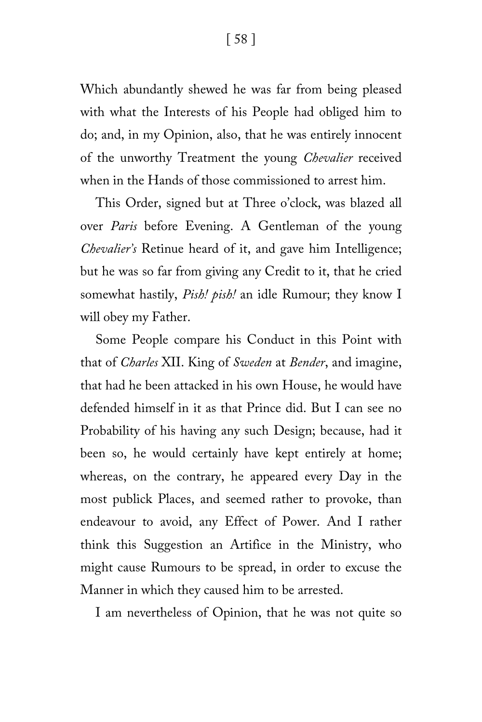[ 58 ]

Which abundantly shewed he was far from being pleased with what the Interests of his People had obliged him to do; and, in my Opinion, also, that he was entirely innocent of the unworthy Treatment the young *Chevalier* received when in the Hands of those commissioned to arrest him.

This Order, signed but at Three o'clock, was blazed all over *Paris* before Evening. A Gentleman of the young *Chevalier's* Retinue heard of it, and gave him Intelligence; but he was so far from giving any Credit to it, that he cried somewhat hastily, *Pish! pish!* an idle Rumour; they know I will obey my Father.

Some People compare his Conduct in this Point with that of *Charles* XII. King of *Sweden* at *Bender*, and imagine, that had he been attacked in his own House, he would have defended himself in it as that Prince did. But I can see no Probability of his having any such Design; because, had it been so, he would certainly have kept entirely at home; whereas, on the contrary, he appeared every Day in the most publick Places, and seemed rather to provoke, than endeavour to avoid, any Effect of Power. And I rather think this Suggestion an Artifice in the Ministry, who might cause Rumours to be spread, in order to excuse the Manner in which they caused him to be arrested.

I am nevertheless of Opinion, that he was not quite so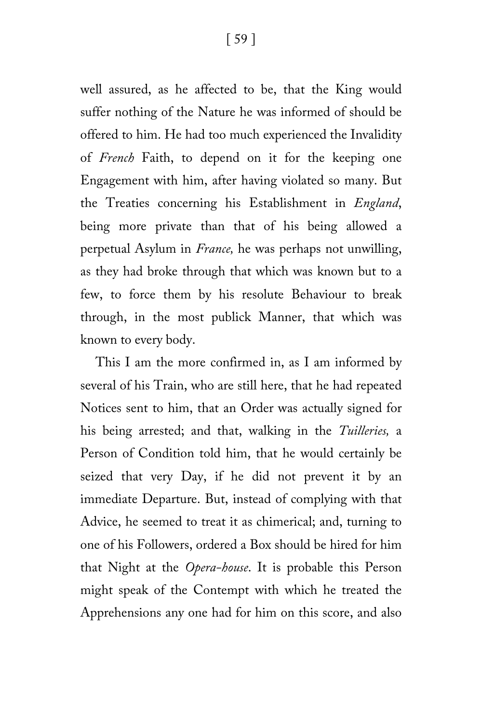well assured, as he affected to be, that the King would suffer nothing of the Nature he was informed of should be offered to him. He had too much experienced the Invalidity of *French* Faith, to depend on it for the keeping one Engagement with him, after having violated so many. But the Treaties concerning his Establishment in *England*, being more private than that of his being allowed a perpetual Asylum in *France,* he was perhaps not unwilling, as they had broke through that which was known but to a few, to force them by his resolute Behaviour to break through, in the most publick Manner, that which was known to every body.

This I am the more confirmed in, as I am informed by several of his Train, who are still here, that he had repeated Notices sent to him, that an Order was actually signed for his being arrested; and that, walking in the *Tuilleries,* a Person of Condition told him, that he would certainly be seized that very Day, if he did not prevent it by an immediate Departure. But, instead of complying with that Advice, he seemed to treat it as chimerical; and, turning to one of his Followers, ordered a Box should be hired for him that Night at the *Opera-house*. It is probable this Person might speak of the Contempt with which he treated the Apprehensions any one had for him on this score, and also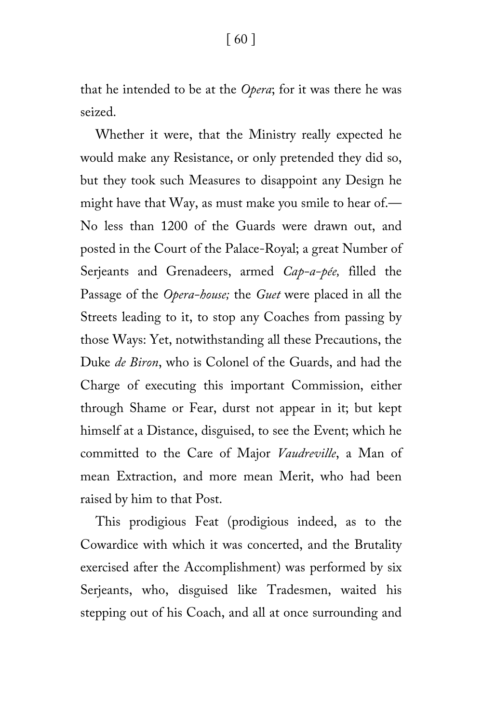that he intended to be at the *Opera*; for it was there he was seized.

Whether it were, that the Ministry really expected he would make any Resistance, or only pretended they did so, but they took such Measures to disappoint any Design he might have that Way, as must make you smile to hear of.— No less than 1200 of the Guards were drawn out, and posted in the Court of the Palace-Royal; a great Number of Serjeants and Grenadeers, armed *Cap-a-pée,* filled the Passage of the *Opera-house;* the *Guet* were placed in all the Streets leading to it, to stop any Coaches from passing by those Ways: Yet, notwithstanding all these Precautions, the Duke *de Biron*, who is Colonel of the Guards, and had the Charge of executing this important Commission, either through Shame or Fear, durst not appear in it; but kept himself at a Distance, disguised, to see the Event; which he committed to the Care of Major *Vaudreville*, a Man of mean Extraction, and more mean Merit, who had been raised by him to that Post.

This prodigious Feat (prodigious indeed, as to the Cowardice with which it was concerted, and the Brutality exercised after the Accomplishment) was performed by six Serjeants, who, disguised like Tradesmen, waited his stepping out of his Coach, and all at once surrounding and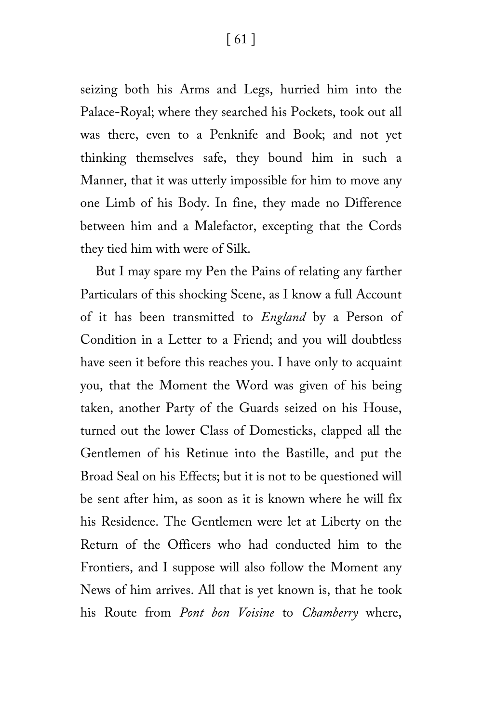[ 61 ]

seizing both his Arms and Legs, hurried him into the Palace-Royal; where they searched his Pockets, took out all was there, even to a Penknife and Book; and not yet thinking themselves safe, they bound him in such a Manner, that it was utterly impossible for him to move any one Limb of his Body. In fine, they made no Difference between him and a Malefactor, excepting that the Cords they tied him with were of Silk.

But I may spare my Pen the Pains of relating any farther Particulars of this shocking Scene, as I know a full Account of it has been transmitted to *England* by a Person of Condition in a Letter to a Friend; and you will doubtless have seen it before this reaches you. I have only to acquaint you, that the Moment the Word was given of his being taken, another Party of the Guards seized on his House, turned out the lower Class of Domesticks, clapped all the Gentlemen of his Retinue into the Bastille, and put the Broad Seal on his Effects; but it is not to be questioned will be sent after him, as soon as it is known where he will fix his Residence. The Gentlemen were let at Liberty on the Return of the Officers who had conducted him to the Frontiers, and I suppose will also follow the Moment any News of him arrives. All that is yet known is, that he took his Route from *Pont bon Voisine* to *Chamberry* where,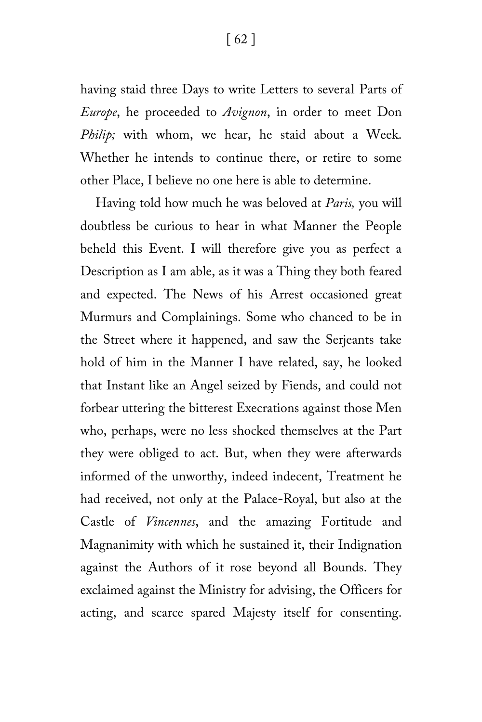having staid three Days to write Letters to several Parts of *Europe*, he proceeded to *Avignon*, in order to meet Don *Philip;* with whom, we hear, he staid about a Week. Whether he intends to continue there, or retire to some other Place, I believe no one here is able to determine.

Having told how much he was beloved at *Paris,* you will doubtless be curious to hear in what Manner the People beheld this Event. I will therefore give you as perfect a Description as I am able, as it was a Thing they both feared and expected. The News of his Arrest occasioned great Murmurs and Complainings. Some who chanced to be in the Street where it happened, and saw the Serjeants take hold of him in the Manner I have related, say, he looked that Instant like an Angel seized by Fiends, and could not forbear uttering the bitterest Execrations against those Men who, perhaps, were no less shocked themselves at the Part they were obliged to act. But, when they were afterwards informed of the unworthy, indeed indecent, Treatment he had received, not only at the Palace-Royal, but also at the Castle of *Vincennes*, and the amazing Fortitude and Magnanimity with which he sustained it, their Indignation against the Authors of it rose beyond all Bounds. They exclaimed against the Ministry for advising, the Officers for acting, and scarce spared Majesty itself for consenting.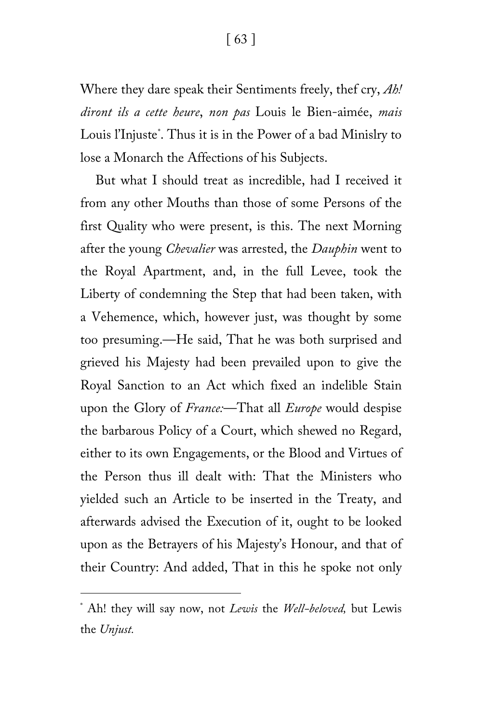Where they dare speak their Sentiments freely, thef cry, *Ah! diront ils a cette heure*, *non pas* Louis le Bien-aimée, *mais* Louis l'Injust[e\\*](#page-62-0). Thus it is in the Power of a bad Minislry to lose a Monarch the Affections of his Subjects.

But what I should treat as incredible, had I received it from any other Mouths than those of some Persons of the first Quality who were present, is this. The next Morning after the young *Chevalier* was arrested, the *Dauphin* went to the Royal Apartment, and, in the full Levee, took the Liberty of condemning the Step that had been taken, with a Vehemence, which, however just, was thought by some too presuming.—He said, That he was both surprised and grieved his Majesty had been prevailed upon to give the Royal Sanction to an Act which fixed an indelible Stain upon the Glory of *France:*—That all *Europe* would despise the barbarous Policy of a Court, which shewed no Regard, either to its own Engagements, or the Blood and Virtues of the Person thus ill dealt with: That the Ministers who yielded such an Article to be inserted in the Treaty, and afterwards advised the Execution of it, ought to be looked upon as the Betrayers of his Majesty's Honour, and that of their Country: And added, That in this he spoke not only

ī

<span id="page-62-0"></span><sup>\*</sup> Ah! they will say now, not *Lewis* the *Well-beloved,* but Lewis the *Unjust.*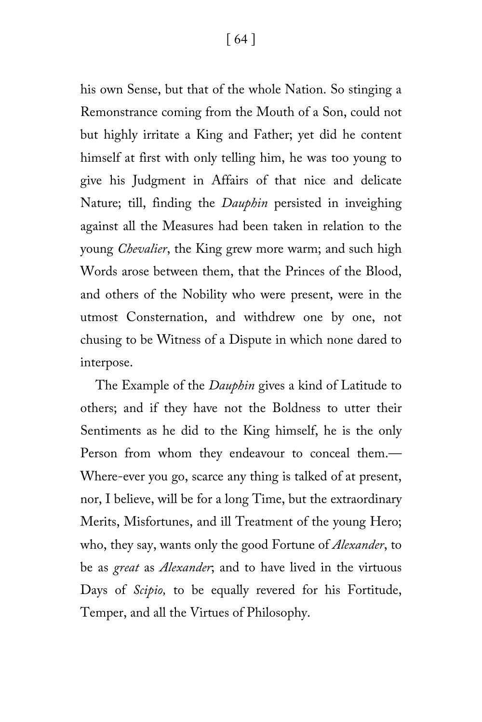his own Sense, but that of the whole Nation. So stinging a Remonstrance coming from the Mouth of a Son, could not but highly irritate a King and Father; yet did he content himself at first with only telling him, he was too young to give his Judgment in Affairs of that nice and delicate Nature; till, finding the *Dauphin* persisted in inveighing against all the Measures had been taken in relation to the young *Chevalier*, the King grew more warm; and such high Words arose between them, that the Princes of the Blood, and others of the Nobility who were present, were in the utmost Consternation, and withdrew one by one, not chusing to be Witness of a Dispute in which none dared to interpose.

The Example of the *Dauphin* gives a kind of Latitude to others; and if they have not the Boldness to utter their Sentiments as he did to the King himself, he is the only Person from whom they endeavour to conceal them.— Where-ever you go, scarce any thing is talked of at present, nor, I believe, will be for a long Time, but the extraordinary Merits, Misfortunes, and ill Treatment of the young Hero; who, they say, wants only the good Fortune of *Alexander*, to be as *great* as *Alexander*; and to have lived in the virtuous Days of *Scipio,* to be equally revered for his Fortitude, Temper, and all the Virtues of Philosophy.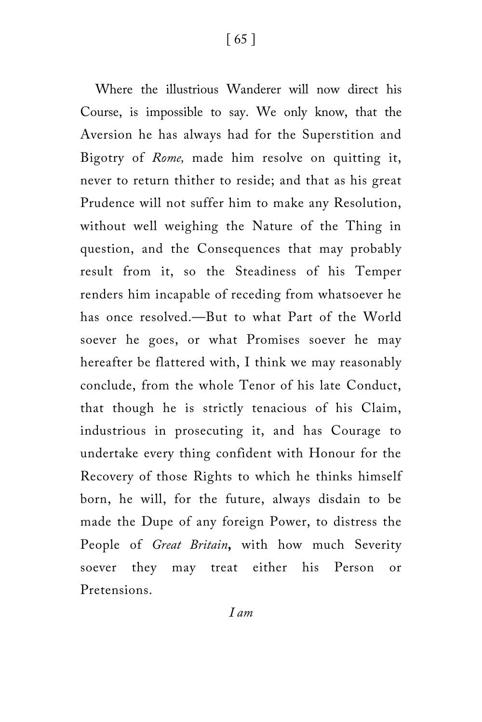Where the illustrious Wanderer will now direct his Course, is impossible to say. We only know, that the Aversion he has always had for the Superstition and Bigotry of *Rome,* made him resolve on quitting it, never to return thither to reside; and that as his great Prudence will not suffer him to make any Resolution, without well weighing the Nature of the Thing in question, and the Consequences that may probably result from it, so the Steadiness of his Temper renders him incapable of receding from whatsoever he has once resolved.—But to what Part of the World soever he goes, or what Promises soever he may hereafter be flattered with, I think we may reasonably conclude, from the whole Tenor of his late Conduct, that though he is strictly tenacious of his Claim, industrious in prosecuting it, and has Courage to undertake every thing confident with Honour for the Recovery of those Rights to which he thinks himself born, he will, for the future, always disdain to be made the Dupe of any foreign Power, to distress the People of *Great Britain***,** with how much Severity soever they may treat either his Person or Pretensions.